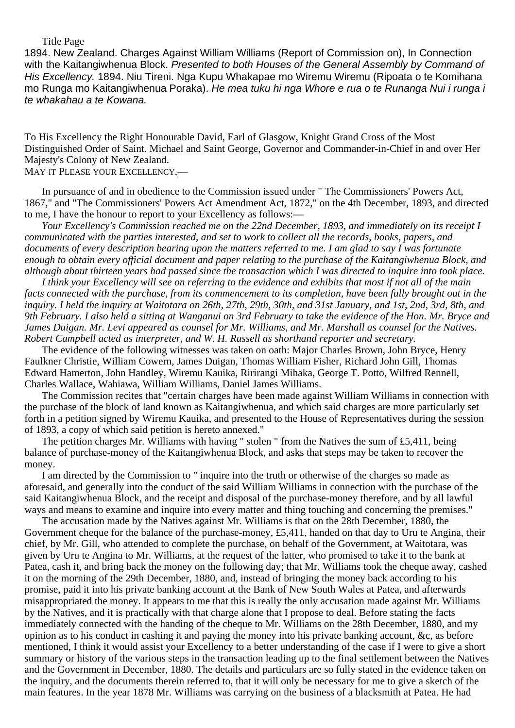#### Title Page

1894. New Zealand. Charges Against William Williams (Report of Commission on), In Connection with the Kaitangiwhenua Block. Presented to both Houses of the General Assembly by Command of His Excellency. 1894. Niu Tireni. Nga Kupu Whakapae mo Wiremu Wiremu (Ripoata o te Komihana mo Runga mo Kaitangiwhenua Poraka). He mea tuku hi nga Whore e rua o te Runanga Nui i runga i te whakahau a te Kowana.

To His Excellency the Right Honourable David, Earl of Glasgow, Knight Grand Cross of the Most Distinguished Order of Saint. Michael and Saint George, Governor and Commander-in-Chief in and over Her Majesty's Colony of New Zealand.

# MAY IT PLEASE YOUR EXCELLENCY,—

In pursuance of and in obedience to the Commission issued under " The Commissioners' Powers Act, 1867," and "The Commissioners' Powers Act Amendment Act, 1872," on the 4th December, 1893, and directed to me, I have the honour to report to your Excellency as follows:—

*Your Excellency's Commission reached me on the 22nd December, 1893, and immediately on its receipt I communicated with the parties interested, and set to work to collect all the records, books, papers, and documents of every description bearing upon the matters referred to me. I am glad to say I was fortunate enough to obtain every official document and paper relating to the purchase of the Kaitangiwhenua Block, and although about thirteen years had passed since the transaction which I was directed to inquire into took place.*

*I think your Excellency will see on referring to the evidence and exhibits that most if not all of the main facts connected with the purchase, from its commencement to its completion, have been fully brought out in the inquiry. I held the inquiry at Waitotara on 26th, 27th, 29th, 30th, and 31st January, and 1st, 2nd, 3rd, 8th, and 9th February. I also held a sitting at Wanganui on 3rd February to take the evidence of the Hon. Mr. Bryce and James Duigan. Mr. Levi appeared as counsel for Mr. Williams, and Mr. Marshall as counsel for the Natives. Robert Campbell acted as interpreter, and W. H. Russell as shorthand reporter and secretary.*

The evidence of the following witnesses was taken on oath: Major Charles Brown, John Bryce, Henry Faulkner Christie, William Cowern, James Duigan, Thomas William Fisher, Richard John Gill, Thomas Edward Hamerton, John Handley, Wiremu Kauika, Ririrangi Mihaka, George T. Potto, Wilfred Rennell, Charles Wallace, Wahiawa, William Williams, Daniel James Williams.

The Commission recites that "certain charges have been made against William Williams in connection with the purchase of the block of land known as Kaitangiwhenua, and which said charges are more particularly set forth in a petition signed by Wiremu Kauika, and presented to the House of Representatives during the session of 1893, a copy of which said petition is hereto annexed."

The petition charges Mr. Williams with having " stolen " from the Natives the sum of £5,411, being balance of purchase-money of the Kaitangiwhenua Block, and asks that steps may be taken to recover the money.

I am directed by the Commission to " inquire into the truth or otherwise of the charges so made as aforesaid, and generally into the conduct of the said William Williams in connection with the purchase of the said Kaitangiwhenua Block, and the receipt and disposal of the purchase-money therefore, and by all lawful ways and means to examine and inquire into every matter and thing touching and concerning the premises."

The accusation made by the Natives against Mr. Williams is that on the 28th December, 1880, the Government cheque for the balance of the purchase-money, £5,411, handed on that day to Uru te Angina, their chief, by Mr. Gill, who attended to complete the purchase, on behalf of the Government, at Waitotara, was given by Uru te Angina to Mr. Williams, at the request of the latter, who promised to take it to the bank at Patea, cash it, and bring back the money on the following day; that Mr. Williams took the cheque away, cashed it on the morning of the 29th December, 1880, and, instead of bringing the money back according to his promise, paid it into his private banking account at the Bank of New South Wales at Patea, and afterwards misappropriated the money. It appears to me that this is really the only accusation made against Mr. Williams by the Natives, and it is practically with that charge alone that I propose to deal. Before stating the facts immediately connected with the handing of the cheque to Mr. Williams on the 28th December, 1880, and my opinion as to his conduct in cashing it and paying the money into his private banking account, &c, as before mentioned, I think it would assist your Excellency to a better understanding of the case if I were to give a short summary or history of the various steps in the transaction leading up to the final settlement between the Natives and the Government in December, 1880. The details and particulars are so fully stated in the evidence taken on the inquiry, and the documents therein referred to, that it will only be necessary for me to give a sketch of the main features. In the year 1878 Mr. Williams was carrying on the business of a blacksmith at Patea. He had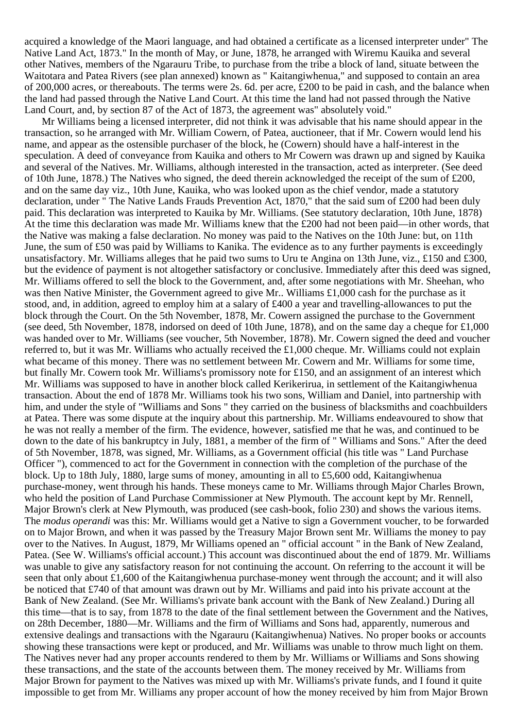acquired a knowledge of the Maori language, and had obtained a certificate as a licensed interpreter under" The Native Land Act, 1873." In the month of May, or June, 1878, he arranged with Wiremu Kauika and several other Natives, members of the Ngarauru Tribe, to purchase from the tribe a block of land, situate between the Waitotara and Patea Rivers (see plan annexed) known as " Kaitangiwhenua," and supposed to contain an area of 200,000 acres, or thereabouts. The terms were 2s. 6d. per acre, £200 to be paid in cash, and the balance when the land had passed through the Native Land Court. At this time the land had not passed through the Native Land Court, and, by section 87 of the Act of 1873, the agreement was" absolutely void."

Mr Williams being a licensed interpreter, did not think it was advisable that his name should appear in the transaction, so he arranged with Mr. William Cowern, of Patea, auctioneer, that if Mr. Cowern would lend his name, and appear as the ostensible purchaser of the block, he (Cowern) should have a half-interest in the speculation. A deed of conveyance from Kauika and others to Mr Cowern was drawn up and signed by Kauika and several of the Natives. Mr. Williams, although interested in the transaction, acted as interpreter. (See deed of 10th June, 1878.) The Natives who signed, the deed therein acknowledged the receipt of the sum of £200, and on the same day viz., 10th June, Kauika, who was looked upon as the chief vendor, made a statutory declaration, under " The Native Lands Frauds Prevention Act, 1870," that the said sum of £200 had been duly paid. This declaration was interpreted to Kauika by Mr. Williams. (See statutory declaration, 10th June, 1878) At the time this declaration was made Mr. Williams knew that the £200 had not been paid—in other words, that the Native was making a false declaration. No money was paid to the Natives on the 10th June: but, on 11th June, the sum of £50 was paid by Williams to Kanika. The evidence as to any further payments is exceedingly unsatisfactory. Mr. Williams alleges that he paid two sums to Uru te Angina on 13th June, viz., £150 and £300, but the evidence of payment is not altogether satisfactory or conclusive. Immediately after this deed was signed, Mr. Williams offered to sell the block to the Government, and, after some negotiations with Mr. Sheehan, who was then Native Minister, the Government agreed to give Mr.. Williams £1,000 cash for the purchase as it stood, and, in addition, agreed to employ him at a salary of £400 a year and travelling-allowances to put the block through the Court. On the 5th November, 1878, Mr. Cowern assigned the purchase to the Government (see deed, 5th November, 1878, indorsed on deed of 10th June, 1878), and on the same day a cheque for  $\pounds1,000$ was handed over to Mr. Williams (see voucher, 5th November, 1878). Mr. Cowern signed the deed and voucher referred to, but it was Mr. Williams who actually received the £1,000 cheque. Mr. Williams could not explain what became of this money. There was no settlement between Mr. Cowern and Mr. Williams for some time, but finally Mr. Cowern took Mr. Williams's promissory note for £150, and an assignment of an interest which Mr. Williams was supposed to have in another block called Kerikerirua, in settlement of the Kaitangiwhenua transaction. About the end of 1878 Mr. Williams took his two sons, William and Daniel, into partnership with him, and under the style of "Williams and Sons " they carried on the business of blacksmiths and coachbuilders at Patea. There was some dispute at the inquiry about this partnership. Mr. Williams endeavoured to show that he was not really a member of the firm. The evidence, however, satisfied me that he was, and continued to be down to the date of his bankruptcy in July, 1881, a member of the firm of " Williams and Sons." After the deed of 5th November, 1878, was signed, Mr. Williams, as a Government official (his title was " Land Purchase Officer "), commenced to act for the Government in connection with the completion of the purchase of the block. Up to 18th July, 1880, large sums of money, amounting in all to £5,600 odd, Kaitangiwhenua purchase-money, went through his hands. These moneys came to Mr. Williams through Major Charles Brown, who held the position of Land Purchase Commissioner at New Plymouth. The account kept by Mr. Rennell, Major Brown's clerk at New Plymouth, was produced (see cash-book, folio 230) and shows the various items. The *modus operandi* was this: Mr. Williams would get a Native to sign a Government voucher, to be forwarded on to Major Brown, and when it was passed by the Treasury Major Brown sent Mr. Williams the money to pay over to the Natives. In August, 1879, Mr Williams opened an " official account " in the Bank of New Zealand, Patea. (See W. Williams's official account.) This account was discontinued about the end of 1879. Mr. Williams was unable to give any satisfactory reason for not continuing the account. On referring to the account it will be seen that only about £1,600 of the Kaitangiwhenua purchase-money went through the account; and it will also be noticed that £740 of that amount was drawn out by Mr. Williams and paid into his private account at the Bank of New Zealand. (See Mr. Williams's private bank account with the Bank of New Zealand.) During all this time—that is to say, from 1878 to the date of the final settlement between the Government and the Natives, on 28th December, 1880—Mr. Williams and the firm of Williams and Sons had, apparently, numerous and extensive dealings and transactions with the Ngarauru (Kaitangiwhenua) Natives. No proper books or accounts showing these transactions were kept or produced, and Mr. Williams was unable to throw much light on them. The Natives never had any proper accounts rendered to them by Mr. Williams or Williams and Sons showing these transactions, and the state of the accounts between them. The money received by Mr. Williams from Major Brown for payment to the Natives was mixed up with Mr. Williams's private funds, and I found it quite impossible to get from Mr. Williams any proper account of how the money received by him from Major Brown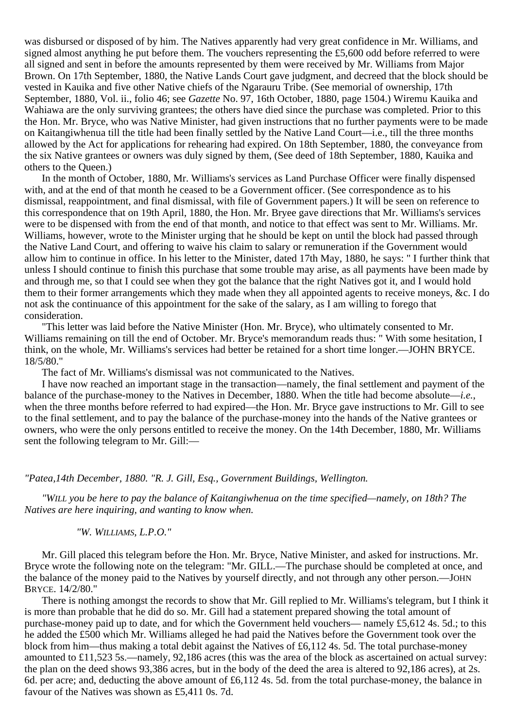was disbursed or disposed of by him. The Natives apparently had very great confidence in Mr. Williams, and signed almost anything he put before them. The vouchers representing the £5,600 odd before referred to were all signed and sent in before the amounts represented by them were received by Mr. Williams from Major Brown. On 17th September, 1880, the Native Lands Court gave judgment, and decreed that the block should be vested in Kauika and five other Native chiefs of the Ngarauru Tribe. (See memorial of ownership, 17th September, 1880, Vol. ii., folio 46; see *Gazette* No. 97, 16th October, 1880, page 1504.) Wiremu Kauika and Wahiawa are the only surviving grantees; the others have died since the purchase was completed. Prior to this the Hon. Mr. Bryce, who was Native Minister, had given instructions that no further payments were to be made on Kaitangiwhenua till the title had been finally settled by the Native Land Court—i.e., till the three months allowed by the Act for applications for rehearing had expired. On 18th September, 1880, the conveyance from the six Native grantees or owners was duly signed by them, (See deed of 18th September, 1880, Kauika and others to the Queen.)

In the month of October, 1880, Mr. Williams's services as Land Purchase Officer were finally dispensed with, and at the end of that month he ceased to be a Government officer. (See correspondence as to his dismissal, reappointment, and final dismissal, with file of Government papers.) It will be seen on reference to this correspondence that on 19th April, 1880, the Hon. Mr. Bryee gave directions that Mr. Williams's services were to be dispensed with from the end of that month, and notice to that effect was sent to Mr. Williams. Mr. Williams, however, wrote to the Minister urging that he should be kept on until the block had passed through the Native Land Court, and offering to waive his claim to salary or remuneration if the Government would allow him to continue in office. In his letter to the Minister, dated 17th May, 1880, he says: " I further think that unless I should continue to finish this purchase that some trouble may arise, as all payments have been made by and through me, so that I could see when they got the balance that the right Natives got it, and I would hold them to their former arrangements which they made when they all appointed agents to receive moneys, &c. I do not ask the continuance of this appointment for the sake of the salary, as I am willing to forego that consideration.

"This letter was laid before the Native Minister (Hon. Mr. Bryce), who ultimately consented to Mr. Williams remaining on till the end of October. Mr. Bryce's memorandum reads thus: " With some hesitation, I think, on the whole, Mr. Williams's services had better be retained for a short time longer.—JOHN BRYCE. 18/5/80."

The fact of Mr. Williams's dismissal was not communicated to the Natives.

I have now reached an important stage in the transaction—namely, the final settlement and payment of the balance of the purchase-money to the Natives in December, 1880. When the title had become absolute—*i.e.*, when the three months before referred to had expired—the Hon. Mr. Bryce gave instructions to Mr. Gill to see to the final settlement, and to pay the balance of the purchase-money into the hands of the Native grantees or owners, who were the only persons entitled to receive the money. On the 14th December, 1880, Mr. Williams sent the following telegram to Mr. Gill:—

*"Patea,14th December, 1880. "R. J. Gill, Esq., Government Buildings, Wellington.*

*"WILL you be here to pay the balance of Kaitangiwhenua on the time specified—namely, on 18th? The Natives are here inquiring, and wanting to know when.*

## *"W. WILLIAMS, L.P.O."*

Mr. Gill placed this telegram before the Hon. Mr. Bryce, Native Minister, and asked for instructions. Mr. Bryce wrote the following note on the telegram: "Mr. GILL.—The purchase should be completed at once, and the balance of the money paid to the Natives by yourself directly, and not through any other person.—JOHN BRYCE. 14/2/80."

There is nothing amongst the records to show that Mr. Gill replied to Mr. Williams's telegram, but I think it is more than probable that he did do so. Mr. Gill had a statement prepared showing the total amount of purchase-money paid up to date, and for which the Government held vouchers— namely £5,612 4s. 5d.; to this he added the £500 which Mr. Williams alleged he had paid the Natives before the Government took over the block from him—thus making a total debit against the Natives of £6,112 4s. 5d. The total purchase-money amounted to £11,523 5s.—namely, 92,186 acres (this was the area of the block as ascertained on actual survey: the plan on the deed shows 93,386 acres, but in the body of the deed the area is altered to 92,186 acres), at 2s. 6d. per acre; and, deducting the above amount of £6,112 4s. 5d. from the total purchase-money, the balance in favour of the Natives was shown as £5,411 0s. 7d.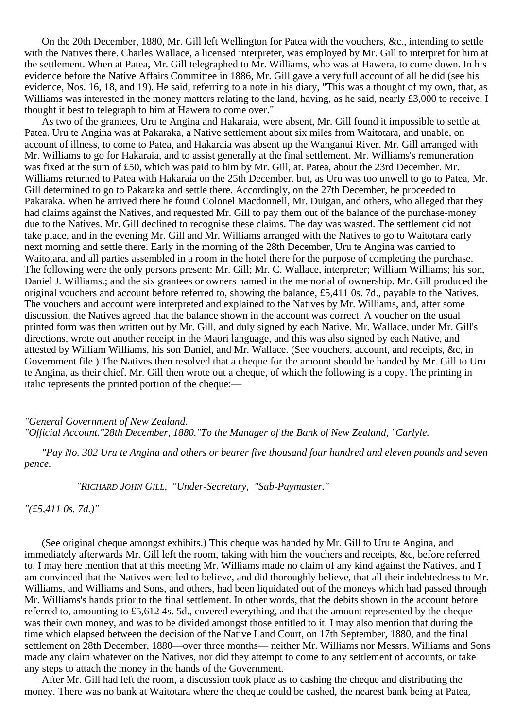On the 20th December, 1880, Mr. Gill left Wellington for Patea with the vouchers, &c., intending to settle with the Natives there. Charles Wallace, a licensed interpreter, was employed by Mr. Gill to interpret for him at the settlement. When at Patea, Mr. Gill telegraphed to Mr. Williams, who was at Hawera, to come down. In his evidence before the Native Affairs Committee in 1886, Mr. Gill gave a very full account of all he did (see his evidence, Nos. 16, 18, and 19). He said, referring to a note in his diary, "This was a thought of my own, that, as Williams was interested in the money matters relating to the land, having, as he said, nearly £3,000 to receive, I thought it best to telegraph to him at Hawera to come over."

As two of the grantees, Uru te Angina and Hakaraia, were absent, Mr. Gill found it impossible to settle at Patea. Uru te Angina was at Pakaraka, a Native settlement about six miles from Waitotara, and unable, on account of illness, to come to Patea, and Hakaraia was absent up the Wanganui River. Mr. Gill arranged with Mr. Williams to go for Hakaraia, and to assist generally at the final settlement. Mr. Williams's remuneration was fixed at the sum of £50, which was paid to him by Mr. Gill, at. Patea, about the 23rd December. Mr. Williams returned to Patea with Hakaraia on the 25th December, but, as Uru was too unwell to go to Patea, Mr. Gill determined to go to Pakaraka and settle there. Accordingly, on the 27th December, he proceeded to Pakaraka. When he arrived there he found Colonel Macdonnell, Mr. Duigan, and others, who alleged that they had claims against the Natives, and requested Mr. Gill to pay them out of the balance of the purchase-money due to the Natives. Mr. Gill declined to recognise these claims. The day was wasted. The settlement did not take place, and in the evening Mr. Gill and Mr. Williams arranged with the Natives to go to Waitotara early next morning and settle there. Early in the morning of the 28th December, Uru te Angina was carried to Waitotara, and all parties assembled in a room in the hotel there for the purpose of completing the purchase. The following were the only persons present: Mr. Gill; Mr. C. Wallace, interpreter; William Williams; his son, Daniel J. Williams.; and the six grantees or owners named in the memorial of ownership. Mr. Gill produced the original vouchers and account before referred to, showing the balance, £5,411 0s. 7d., payable to the Natives. The vouchers and account were interpreted and explained to the Natives by Mr. Williams, and, after some discussion, the Natives agreed that the balance shown in the account was correct. A voucher on the usual printed form was then written out by Mr. Gill, and duly signed by each Native. Mr. Wallace, under Mr. Gill's directions, wrote out another receipt in the Maori language, and this was also signed by each Native, and attested by William Williams, his son Daniel, and Mr. Wallace. (See vouchers, account, and receipts, &c, in Government file.) The Natives then resolved that a cheque for the amount should be handed by Mr. Gill to Uru te Angina, as their chief. Mr. Gill then wrote out a cheque, of which the following is a copy. The printing in italic represents the printed portion of the cheque:—

# *"General Government of New Zealand. "Official Account."28th December, 1880."To the Manager of the Bank of New Zealand, "Carlyle.*

*"Pay No. 302 Uru te Angina and others or bearer five thousand four hundred and eleven pounds and seven pence.*

*"RICHARD JOHN GILL, "Under-Secretary, "Sub-Paymaster."*

*"(£5,411 0s. 7d.)"*

(See original cheque amongst exhibits.) This cheque was handed by Mr. Gill to Uru te Angina, and immediately afterwards Mr. Gill left the room, taking with him the vouchers and receipts, &c, before referred to. I may here mention that at this meeting Mr. Williams made no claim of any kind against the Natives, and I am convinced that the Natives were led to believe, and did thoroughly believe, that all their indebtedness to Mr. Williams, and Williams and Sons, and others, had been liquidated out of the moneys which had passed through Mr. Williams's hands prior to the final settlement. In other words, that the debits shown in the account before referred to, amounting to £5,612 4s. 5d., covered everything, and that the amount represented by the cheque was their own money, and was to be divided amongst those entitled to it. I may also mention that during the time which elapsed between the decision of the Native Land Court, on 17th September, 1880, and the final settlement on 28th December, 1880—over three months— neither Mr. Williams nor Messrs. Williams and Sons made any claim whatever on the Natives, nor did they attempt to come to any settlement of accounts, or take any steps to attach the money in the hands of the Government.

After Mr. Gill had left the room, a discussion took place as to cashing the cheque and distributing the money. There was no bank at Waitotara where the cheque could be cashed, the nearest bank being at Patea,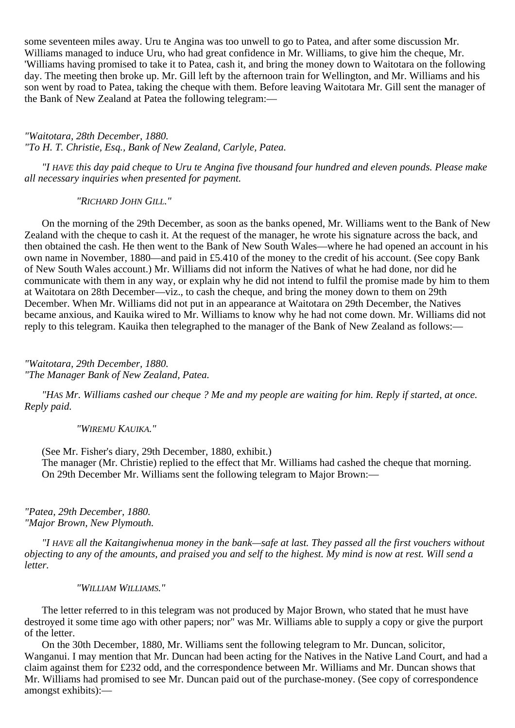some seventeen miles away. Uru te Angina was too unwell to go to Patea, and after some discussion Mr. Williams managed to induce Uru, who had great confidence in Mr. Williams, to give him the cheque, Mr. 'Williams having promised to take it to Patea, cash it, and bring the money down to Waitotara on the following day. The meeting then broke up. Mr. Gill left by the afternoon train for Wellington, and Mr. Williams and his son went by road to Patea, taking the cheque with them. Before leaving Waitotara Mr. Gill sent the manager of the Bank of New Zealand at Patea the following telegram:—

*"Waitotara, 28th December, 1880. "To H. T. Christie, Esq., Bank of New Zealand, Carlyle, Patea.*

*"I HAVE this day paid cheque to Uru te Angina five thousand four hundred and eleven pounds. Please make all necessary inquiries when presented for payment.*

*"RICHARD JOHN GILL."*

On the morning of the 29th December, as soon as the banks opened, Mr. Williams went to the Bank of New Zealand with the cheque to cash it. At the request of the manager, he wrote his signature across the back, and then obtained the cash. He then went to the Bank of New South Wales—where he had opened an account in his own name in November, 1880—and paid in £5.410 of the money to the credit of his account. (See copy Bank of New South Wales account.) Mr. Williams did not inform the Natives of what he had done, nor did he communicate with them in any way, or explain why he did not intend to fulfil the promise made by him to them at Waitotara on 28th December—viz., to cash the cheque, and bring the money down to them on 29th December. When Mr. Williams did not put in an appearance at Waitotara on 29th December, the Natives became anxious, and Kauika wired to Mr. Williams to know why he had not come down. Mr. Williams did not reply to this telegram. Kauika then telegraphed to the manager of the Bank of New Zealand as follows:—

*"Waitotara, 29th December, 1880. "The Manager Bank of New Zealand, Patea.*

*"HAS Mr. Williams cashed our cheque ? Me and my people are waiting for him. Reply if started, at once. Reply paid.*

*"WIREMU KAUIKA."*

(See Mr. Fisher's diary, 29th December, 1880, exhibit.) The manager (Mr. Christie) replied to the effect that Mr. Williams had cashed the cheque that morning. On 29th December Mr. Williams sent the following telegram to Major Brown:—

*"Patea, 29th December, 1880. "Major Brown, New Plymouth.*

*"I HAVE all the Kaitangiwhenua money in the bank—safe at last. They passed all the first vouchers without objecting to any of the amounts, and praised you and self to the highest. My mind is now at rest. Will send a letter.*

*"WILLIAM WILLIAMS."*

The letter referred to in this telegram was not produced by Major Brown, who stated that he must have destroyed it some time ago with other papers; nor" was Mr. Williams able to supply a copy or give the purport of the letter.

On the 30th December, 1880, Mr. Williams sent the following telegram to Mr. Duncan, solicitor, Wanganui. I may mention that Mr. Duncan had been acting for the Natives in the Native Land Court, and had a claim against them for £232 odd, and the correspondence between Mr. Williams and Mr. Duncan shows that Mr. Williams had promised to see Mr. Duncan paid out of the purchase-money. (See copy of correspondence amongst exhibits):—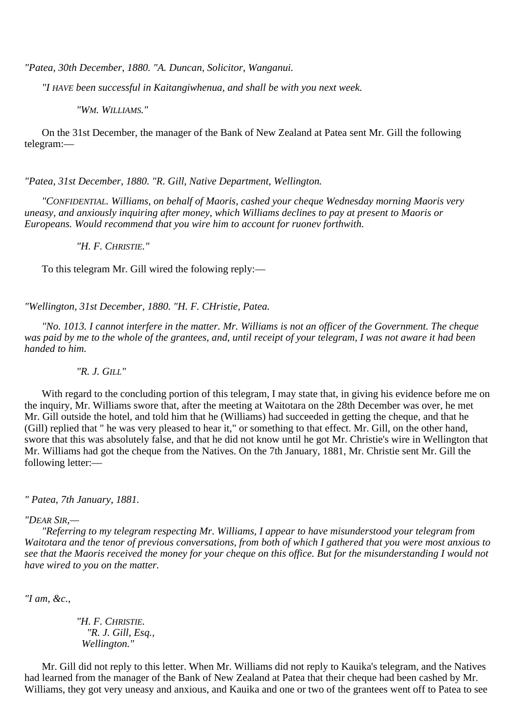*"Patea, 30th December, 1880. "A. Duncan, Solicitor, Wanganui.*

*"I HAVE been successful in Kaitangiwhenua, and shall be with you next week.*

*"WM. WILLIAMS."*

On the 31st December, the manager of the Bank of New Zealand at Patea sent Mr. Gill the following telegram:—

*"Patea, 31st December, 1880. "R. Gill, Native Department, Wellington.*

*"CONFIDENTIAL. Williams, on behalf of Maoris, cashed your cheque Wednesday morning Maoris very uneasy, and anxiously inquiring after money, which Williams declines to pay at present to Maoris or Europeans. Would recommend that you wire him to account for ruonev forthwith.*

*"H. F. CHRISTIE."*

To this telegram Mr. Gill wired the folowing reply:—

*"Wellington, 31st December, 1880. "H. F. CHristie, Patea.*

*"No. 1013. I cannot interfere in the matter. Mr. Williams is not an officer of the Government. The cheque was paid by me to the whole of the grantees, and, until receipt of your telegram, I was not aware it had been handed to him.*

*"R. J. GILL"*

With regard to the concluding portion of this telegram, I may state that, in giving his evidence before me on the inquiry, Mr. Williams swore that, after the meeting at Waitotara on the 28th December was over, he met Mr. Gill outside the hotel, and told him that he (Williams) had succeeded in getting the cheque, and that he (Gill) replied that " he was very pleased to hear it," or something to that effect. Mr. Gill, on the other hand, swore that this was absolutely false, and that he did not know until he got Mr. Christie's wire in Wellington that Mr. Williams had got the cheque from the Natives. On the 7th January, 1881, Mr. Christie sent Mr. Gill the following letter:—

*" Patea, 7th January, 1881.*

## *"DEAR SIR,—*

*"Referring to my telegram respecting Mr. Williams, I appear to have misunderstood your telegram from Waitotara and the tenor of previous conversations, from both of which I gathered that you were most anxious to see that the Maoris received the money for your cheque on this office. But for the misunderstanding I would not have wired to you on the matter.*

*"I am, &c.,*

*"H. F. CHRISTIE. "R. J. Gill, Esq., Wellington."*

Mr. Gill did not reply to this letter. When Mr. Williams did not reply to Kauika's telegram, and the Natives had learned from the manager of the Bank of New Zealand at Patea that their cheque had been cashed by Mr. Williams, they got very uneasy and anxious, and Kauika and one or two of the grantees went off to Patea to see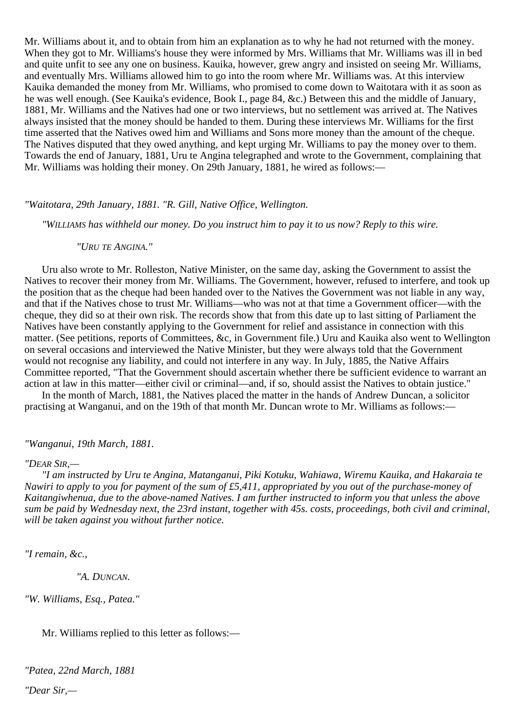Mr. Williams about it, and to obtain from him an explanation as to why he had not returned with the money. When they got to Mr. Williams's house they were informed by Mrs. Williams that Mr. Williams was ill in bed and quite unfit to see any one on business. Kauika, however, grew angry and insisted on seeing Mr. Williams, and eventually Mrs. Williams allowed him to go into the room where Mr. Williams was. At this interview Kauika demanded the money from Mr. Williams, who promised to come down to Waitotara with it as soon as he was well enough. (See Kauika's evidence, Book I., page 84, &c.) Between this and the middle of January, 1881, Mr. Williams and the Natives had one or two interviews, but no settlement was arrived at. The Natives always insisted that the money should be handed to them. During these interviews Mr. Williams for the first time asserted that the Natives owed him and Williams and Sons more money than the amount of the cheque. The Natives disputed that they owed anything, and kept urging Mr. Williams to pay the money over to them. Towards the end of January, 1881, Uru te Angina telegraphed and wrote to the Government, complaining that Mr. Williams was holding their money. On 29th January, 1881, he wired as follows:—

## *"Waitotara, 29th January, 1881. "R. Gill, Native Office, Wellington.*

*"WILLIAMS has withheld our money. Do you instruct him to pay it to us now? Reply to this wire.*

## *"URU TE ANGINA."*

Uru also wrote to Mr. Rolleston, Native Minister, on the same day, asking the Government to assist the Natives to recover their money from Mr. Williams. The Government, however, refused to interfere, and took up the position that as the cheque had been handed over to the Natives the Government was not liable in any way, and that if the Natives chose to trust Mr. Williams—who was not at that time a Government officer—with the cheque, they did so at their own risk. The records show that from this date up to last sitting of Parliament the Natives have been constantly applying to the Government for relief and assistance in connection with this matter. (See petitions, reports of Committees, &c, in Government file.) Uru and Kauika also went to Wellington on several occasions and interviewed the Native Minister, but they were always told that the Government would not recognise any liability, and could not interfere in any way. In July, 1885, the Native Affairs Committee reported, "That the Government should ascertain whether there be sufficient evidence to warrant an action at law in this matter—either civil or criminal—and, if so, should assist the Natives to obtain justice."

In the month of March, 1881, the Natives placed the matter in the hands of Andrew Duncan, a solicitor practising at Wanganui, and on the 19th of that month Mr. Duncan wrote to Mr. Williams as follows:—

## *"Wanganui, 19th March, 1881.*

## *"DEAR SIR,—*

*"I am instructed by Uru te Angina, Matanganui, Piki Kotuku, Wahiawa, Wiremu Kauika, and Hakaraia te Nawiri to apply to you for payment of the sum of £5,411, appropriated by you out of the purchase-money of Kaitangiwhenua, due to the above-named Natives. I am further instructed to inform you that unless the above sum be paid by Wednesday next, the 23rd instant, together with 45s. costs, proceedings, both civil and criminal, will be taken against you without further notice.*

*"I remain, &c.,*

*"A. DUNCAN.*

*"W. Williams, Esq., Patea."*

Mr. Williams replied to this letter as follows:—

*"Patea, 22nd March, 1881 "Dear Sir,—*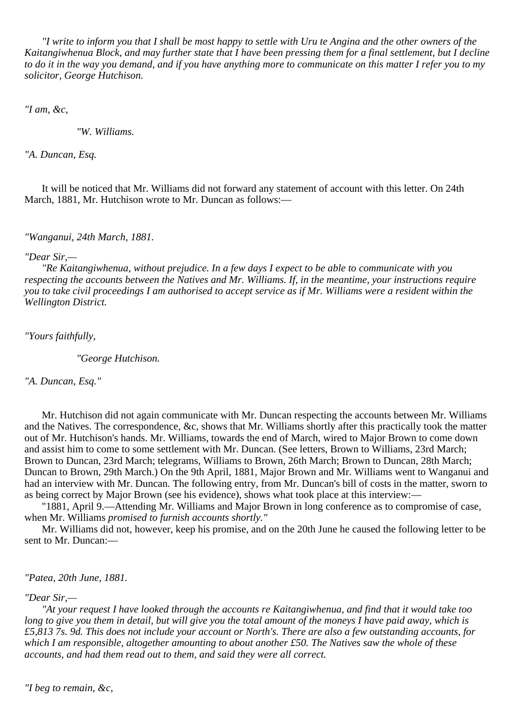*"I write to inform you that I shall be most happy to settle with Uru te Angina and the other owners of the Kaitangiwhenua Block, and may further state that I have been pressing them for a final settlement, but I decline to do it in the way you demand, and if you have anything more to communicate on this matter I refer you to my solicitor, George Hutchison.*

*"I am, &c,*

*"W. Williams.*

*"A. Duncan, Esq.*

It will be noticed that Mr. Williams did not forward any statement of account with this letter. On 24th March, 1881, Mr. Hutchison wrote to Mr. Duncan as follows:—

*"Wanganui, 24th March, 1881.*

#### *"Dear Sir,—*

*"Re Kaitangiwhenua, without prejudice. In a few days I expect to be able to communicate with you respecting the accounts between the Natives and Mr. Williams. If, in the meantime, your instructions require you to take civil proceedings I am authorised to accept service as if Mr. Williams were a resident within the Wellington District.*

*"Yours faithfully,*

*"George Hutchison.*

*"A. Duncan, Esq."*

Mr. Hutchison did not again communicate with Mr. Duncan respecting the accounts between Mr. Williams and the Natives. The correspondence, &c, shows that Mr. Williams shortly after this practically took the matter out of Mr. Hutchison's hands. Mr. Williams, towards the end of March, wired to Major Brown to come down and assist him to come to some settlement with Mr. Duncan. (See letters, Brown to Williams, 23rd March; Brown to Duncan, 23rd March; telegrams, Williams to Brown, 26th March; Brown to Duncan, 28th March; Duncan to Brown, 29th March.) On the 9th April, 1881, Major Brown and Mr. Williams went to Wanganui and had an interview with Mr. Duncan. The following entry, from Mr. Duncan's bill of costs in the matter, sworn to as being correct by Major Brown (see his evidence), shows what took place at this interview:—

"1881, April 9.—Attending Mr. Williams and Major Brown in long conference as to compromise of case, when Mr. Williams *promised to furnish accounts shortly."*

Mr. Williams did not, however, keep his promise, and on the 20th June he caused the following letter to be sent to Mr. Duncan:—

*"Patea, 20th June, 1881.*

## *"Dear Sir,—*

*"At your request I have looked through the accounts re Kaitangiwhenua, and find that it would take too long to give you them in detail, but will give you the total amount of the moneys I have paid away, which is £5,813 7s. 9d. This does not include your account or North's. There are also a few outstanding accounts, for which I am responsible, altogether amounting to about another £50. The Natives saw the whole of these accounts, and had them read out to them, and said they were all correct.*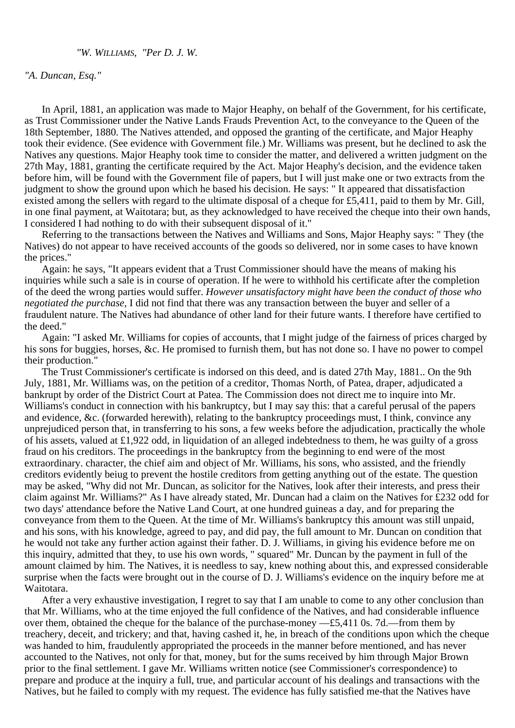# *"W. WILLIAMS, "Per D. J. W.*

## *"A. Duncan, Esq."*

In April, 1881, an application was made to Major Heaphy, on behalf of the Government, for his certificate, as Trust Commissioner under the Native Lands Frauds Prevention Act, to the conveyance to the Queen of the 18th September, 1880. The Natives attended, and opposed the granting of the certificate, and Major Heaphy took their evidence. (See evidence with Government file.) Mr. Williams was present, but he declined to ask the Natives any questions. Major Heaphy took time to consider the matter, and delivered a written judgment on the 27th May, 1881, granting the certificate required by the Act. Major Heaphy's decision, and the evidence taken before him, will be found with the Government file of papers, but I will just make one or two extracts from the judgment to show the ground upon which he based his decision. He says: " It appeared that dissatisfaction existed among the sellers with regard to the ultimate disposal of a cheque for £5,411, paid to them by Mr. Gill, in one final payment, at Waitotara; but, as they acknowledged to have received the cheque into their own hands, I considered I had nothing to do with their subsequent disposal of it."

Referring to the transactions between the Natives and Williams and Sons, Major Heaphy says: " They (the Natives) do not appear to have received accounts of the goods so delivered, nor in some cases to have known the prices."

Again: he says, "It appears evident that a Trust Commissioner should have the means of making his inquiries while such a sale is in course of operation. If he were to withhold his certificate after the completion of the deed the wrong parties would suffer. *However unsatisfactory might have been the conduct of those who negotiated the purchase,* I did not find that there was any transaction between the buyer and seller of a fraudulent nature. The Natives had abundance of other land for their future wants. I therefore have certified to the deed."

Again: "I asked Mr. Williams for copies of accounts, that I might judge of the fairness of prices charged by his sons for buggies, horses, &c. He promised to furnish them, but has not done so. I have no power to compel their production."

The Trust Commissioner's certificate is indorsed on this deed, and is dated 27th May, 1881.. On the 9th July, 1881, Mr. Williams was, on the petition of a creditor, Thomas North, of Patea, draper, adjudicated a bankrupt by order of the District Court at Patea. The Commission does not direct me to inquire into Mr. Williams's conduct in connection with his bankruptcy, but I may say this: that a careful perusal of the papers and evidence, &c. (forwarded herewith), relating to the bankruptcy proceedings must, I think, convince any unprejudiced person that, in transferring to his sons, a few weeks before the adjudication, practically the whole of his assets, valued at £1,922 odd, in liquidation of an alleged indebtedness to them, he was guilty of a gross fraud on his creditors. The proceedings in the bankruptcy from the beginning to end were of the most extraordinary. character, the chief aim and object of Mr. Williams, his sons, who assisted, and the friendly creditors evidently beiug to prevent the hostile creditors from getting anything out of the estate. The question may be asked, "Why did not Mr. Duncan, as solicitor for the Natives, look after their interests, and press their claim against Mr. Williams?" As I have already stated, Mr. Duncan had a claim on the Natives for £232 odd for two days' attendance before the Native Land Court, at one hundred guineas a day, and for preparing the conveyance from them to the Queen. At the time of Mr. Williams's bankruptcy this amount was still unpaid, and his sons, with his knowledge, agreed to pay, and did pay, the full amount to Mr. Duncan on condition that he would not take any further action against their father. D. J. Williams, in giving his evidence before me on this inquiry, admitted that they, to use his own words, " squared" Mr. Duncan by the payment in full of the amount claimed by him. The Natives, it is needless to say, knew nothing about this, and expressed considerable surprise when the facts were brought out in the course of D. J. Williams's evidence on the inquiry before me at Waitotara.

After a very exhaustive investigation, I regret to say that I am unable to come to any other conclusion than that Mr. Williams, who at the time enjoyed the full confidence of the Natives, and had considerable influence over them, obtained the cheque for the balance of the purchase-money —£5,411 0s. 7d.—from them by treachery, deceit, and trickery; and that, having cashed it, he, in breach of the conditions upon which the cheque was handed to him, fraudulently appropriated the proceeds in the manner before mentioned, and has never accounted to the Natives, not only for that, money, but for the sums received by him through Major Brown prior to the final settlement. I gave Mr. Williams written notice (see Commissioner's correspondence) to prepare and produce at the inquiry a full, true, and particular account of his dealings and transactions with the Natives, but he failed to comply with my request. The evidence has fully satisfied me-that the Natives have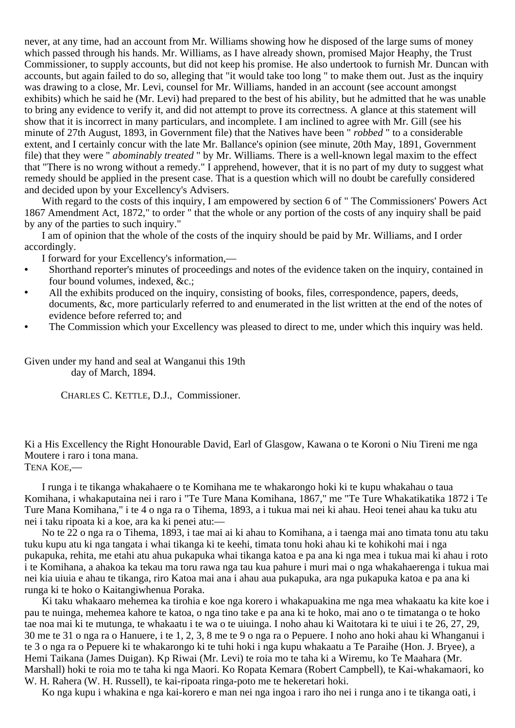never, at any time, had an account from Mr. Williams showing how he disposed of the large sums of money which passed through his hands. Mr. Williams, as I have already shown, promised Major Heaphy, the Trust Commissioner, to supply accounts, but did not keep his promise. He also undertook to furnish Mr. Duncan with accounts, but again failed to do so, alleging that "it would take too long " to make them out. Just as the inquiry was drawing to a close, Mr. Levi, counsel for Mr. Williams, handed in an account (see account amongst exhibits) which he said he (Mr. Levi) had prepared to the best of his ability, but he admitted that he was unable to bring any evidence to verify it, and did not attempt to prove its correctness. A glance at this statement will show that it is incorrect in many particulars, and incomplete. I am inclined to agree with Mr. Gill (see his minute of 27th August, 1893, in Government file) that the Natives have been " *robbed* " to a considerable extent, and I certainly concur with the late Mr. Ballance's opinion (see minute, 20th May, 1891, Government file) that they were " *abominably treated* " by Mr. Williams. There is a well-known legal maxim to the effect that "There is no wrong without a remedy." I apprehend, however, that it is no part of my duty to suggest what remedy should be applied in the present case. That is a question which will no doubt be carefully considered and decided upon by your Excellency's Advisers.

With regard to the costs of this inquiry, I am empowered by section 6 of " The Commissioners' Powers Act 1867 Amendment Act, 1872," to order " that the whole or any portion of the costs of any inquiry shall be paid by any of the parties to such inquiry."

I am of opinion that the whole of the costs of the inquiry should be paid by Mr. Williams, and I order accordingly.

I forward for your Excellency's information,—

- **•** Shorthand reporter's minutes of proceedings and notes of the evidence taken on the inquiry, contained in four bound volumes, indexed, &c.;
- All the exhibits produced on the inquiry, consisting of books, files, correspondence, papers, deeds, documents, &c, more particularly referred to and enumerated in the list written at the end of the notes of evidence before referred to; and
- **•** The Commission which your Excellency was pleased to direct to me, under which this inquiry was held.

Given under my hand and seal at Wanganui this 19th day of March, 1894.

CHARLES C. KETTLE, D.J., Commissioner.

Ki a His Excellency the Right Honourable David, Earl of Glasgow, Kawana o te Koroni o Niu Tireni me nga Moutere i raro i tona mana.

TENA KOE,—

I runga i te tikanga whakahaere o te Komihana me te whakarongo hoki ki te kupu whakahau o taua Komihana, i whakaputaina nei i raro i "Te Ture Mana Komihana, 1867," me "Te Ture Whakatikatika 1872 i Te Ture Mana Komihana," i te 4 o nga ra o Tihema, 1893, a i tukua mai nei ki ahau. Heoi tenei ahau ka tuku atu nei i taku ripoata ki a koe, ara ka ki penei atu:—

No te 22 o nga ra o Tihema, 1893, i tae mai ai ki ahau to Komihana, a i taenga mai ano timata tonu atu taku tuku kupu atu ki nga tangata i whai tikanga ki te keehi, timata tonu hoki ahau ki te kohikohi mai i nga pukapuka, rehita, me etahi atu ahua pukapuka whai tikanga katoa e pa ana ki nga mea i tukua mai ki ahau i roto i te Komihana, a ahakoa ka tekau ma toru rawa nga tau kua pahure i muri mai o nga whakahaerenga i tukua mai nei kia uiuia e ahau te tikanga, riro Katoa mai ana i ahau aua pukapuka, ara nga pukapuka katoa e pa ana ki runga ki te hoko o Kaitangiwhenua Poraka.

Ki taku whakaaro mehemea ka tirohia e koe nga korero i whakapuakina me nga mea whakaatu ka kite koe i pau te nuinga, mehemea kahore te katoa, o nga tino take e pa ana ki te hoko, mai ano o te timatanga o te hoko tae noa mai ki te mutunga, te whakaatu i te wa o te uiuinga. I noho ahau ki Waitotara ki te uiui i te 26, 27, 29, 30 me te 31 o nga ra o Hanuere, i te 1, 2, 3, 8 me te 9 o nga ra o Pepuere. I noho ano hoki ahau ki Whanganui i te 3 o nga ra o Pepuere ki te whakarongo ki te tuhi hoki i nga kupu whakaatu a Te Paraihe (Hon. J. Bryee), a Hemi Taikana (James Duigan). Kp Riwai (Mr. Levi) te roia mo te taha ki a Wiremu, ko Te Maahara (Mr. Marshall) hoki te roia mo te taha ki nga Maori. Ko Ropata Kemara (Robert Campbell), te Kai-whakamaori, ko W. H. Rahera (W. H. Russell), te kai-ripoata ringa-poto me te hekeretari hoki.

Ko nga kupu i whakina e nga kai-korero e man nei nga ingoa i raro iho nei i runga ano i te tikanga oati, i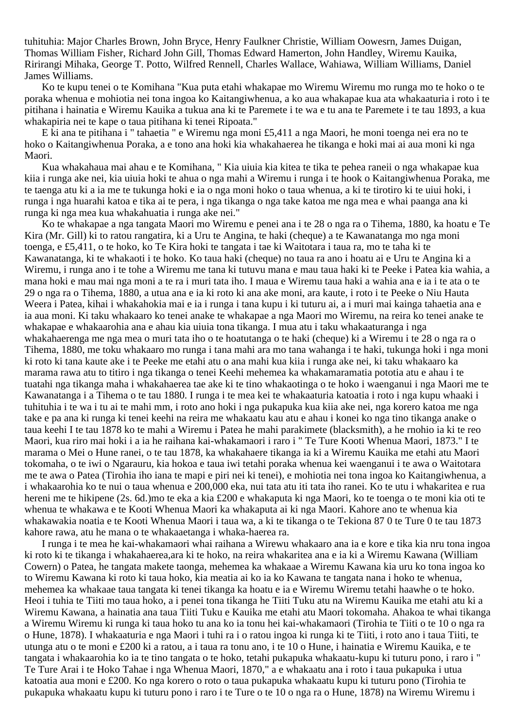tuhituhia: Major Charles Brown, John Bryce, Henry Faulkner Christie, William Oowesrn, James Duigan, Thomas William Fisher, Richard John Gill, Thomas Edward Hamerton, John Handley, Wiremu Kauika, Ririrangi Mihaka, George T. Potto, Wilfred Rennell, Charles Wallace, Wahiawa, William Williams, Daniel James Williams.

Ko te kupu tenei o te Komihana "Kua puta etahi whakapae mo Wiremu Wiremu mo runga mo te hoko o te poraka whenua e mohiotia nei tona ingoa ko Kaitangiwhenua, a ko aua whakapae kua ata whakaaturia i roto i te pitihana i hainatia e Wiremu Kauika a tukua ana ki te Paremete i te wa e tu ana te Paremete i te tau 1893, a kua whakapiria nei te kape o taua pitihana ki tenei Ripoata."

E ki ana te pitihana i " tahaetia " e Wiremu nga moni £5,411 a nga Maori, he moni toenga nei era no te hoko o Kaitangiwhenua Poraka, a e tono ana hoki kia whakahaerea he tikanga e hoki mai ai aua moni ki nga Maori.

Kua whakahaua mai ahau e te Komihana, " Kia uiuia kia kitea te tika te pehea raneii o nga whakapae kua kiia i runga ake nei, kia uiuia hoki te ahua o nga mahi a Wiremu i runga i te hook o Kaitangiwhenua Poraka, me te taenga atu ki a ia me te tukunga hoki e ia o nga moni hoko o taua whenua, a ki te tirotiro ki te uiui hoki, i runga i nga huarahi katoa e tika ai te pera, i nga tikanga o nga take katoa me nga mea e whai paanga ana ki runga ki nga mea kua whakahuatia i runga ake nei."

Ko te whakapae a nga tangata Maori mo Wiremu e penei ana i te 28 o nga ra o Tihema, 1880, ka hoatu e Te Kira (Mr. Gill) ki to ratou rangatira, ki a Uru te Angina, te haki (cheque) a te Kawanatanga mo nga moni toenga, e £5,411, o te hoko, ko Te Kira hoki te tangata i tae ki Waitotara i taua ra, mo te taha ki te Kawanatanga, ki te whakaoti i te hoko. Ko taua haki (cheque) no taua ra ano i hoatu ai e Uru te Angina ki a Wiremu, i runga ano i te tohe a Wiremu me tana ki tutuvu mana e mau taua haki ki te Peeke i Patea kia wahia, a mana hoki e mau mai nga moni a te ra i muri tata iho. I maua e Wiremu taua haki a wahia ana e ia i te ata o te 29 o nga ra o Tihema, 1880, a utua ana e ia ki roto ki ana ake moni, ara kaute, i roto i te Peeke o Niu Hauta Weera i Patea, kihai i whakahokia mai e ia i runga i tana kupu i ki tuturu ai, a i muri mai kainga tahaetia ana e ia aua moni. Ki taku whakaaro ko tenei anake te whakapae a nga Maori mo Wiremu, na reira ko tenei anake te whakapae e whakaarohia ana e ahau kia uiuia tona tikanga. I mua atu i taku whakaaturanga i nga whakahaerenga me nga mea o muri tata iho o te hoatutanga o te haki (cheque) ki a Wiremu i te 28 o nga ra o Tihema, 1880, me toku whakaaro mo runga i tana mahi ara mo tana wahanga i te haki, tukunga hoki i nga moni ki roto ki tana kaute ake i te Peeke me etahi atu o ana mahi kua kiia i runga ake nei, ki taku whakaaro ka marama rawa atu to titiro i nga tikanga o tenei Keehi mehemea ka whakamaramatia pototia atu e ahau i te tuatahi nga tikanga maha i whakahaerea tae ake ki te tino whakaotinga o te hoko i waenganui i nga Maori me te Kawanatanga i a Tihema o te tau 1880. I runga i te mea kei te whakaaturia katoatia i roto i nga kupu whaaki i tuhituhia i te wa i tu ai te mahi mm, i roto ano hoki i nga pukapuka kua kiia ake nei, nga korero katoa me nga take e pa ana ki runga ki tenei keehi na reira me whakaatu kau atu e ahau i konei ko nga tino tikanga anake o taua keehi I te tau 1878 ko te mahi a Wiremu i Patea he mahi parakimete (blacksmith), a he rnohio ia ki te reo Maori, kua riro mai hoki i a ia he raihana kai-whakamaori i raro i " Te Ture Kooti Whenua Maori, 1873." I te marama o Mei o Hune ranei, o te tau 1878, ka whakahaere tikanga ia ki a Wiremu Kauika me etahi atu Maori tokomaha, o te iwi o Ngarauru, kia hokoa e taua iwi tetahi poraka whenua kei waenganui i te awa o Waitotara me te awa o Patea (Tirohia iho iana te mapi e piri nei ki tenei), e mohiotia nei tona ingoa ko Kaitangiwhenua, a i whakaarohia ko te nui o taua whenua e 200,000 eka, nui tata atu iti tata iho ranei. Ko te utu i whakaritea e rua hereni me te hikipene (2s. 6d.)mo te eka a kia £200 e whakaputa ki nga Maori, ko te toenga o te moni kia oti te whenua te whakawa e te Kooti Whenua Maori ka whakaputa ai ki nga Maori. Kahore ano te whenua kia whakawakia noatia e te Kooti Whenua Maori i taua wa, a ki te tikanga o te Tekiona 87 0 te Ture 0 te tau 1873 kahore rawa, atu he mana o te whakaaetanga i whaka-haerea ra.

I runga i te mea he kai-whakamaori whai raihana a Wirewu whakaaro ana ia e kore e tika kia nru tona ingoa ki roto ki te tikanga i whakahaerea,ara ki te hoko, na reira whakaritea ana e ia ki a Wiremu Kawana (William Cowern) o Patea, he tangata makete taonga, mehemea ka whakaae a Wiremu Kawana kia uru ko tona ingoa ko to Wiremu Kawana ki roto ki taua hoko, kia meatia ai ko ia ko Kawana te tangata nana i hoko te whenua, mehemea ka whakaae taua tangata ki tenei tikanga ka hoatu e ia e Wiremu Wiremu tetahi haawhe o te hoko. Heoi i tuhia te Tiiti mo taua hoko, a i penei tona tikanga he Tiiti Tuku atu na Wiremu Kauika me etahi atu ki a Wiremu Kawana, a hainatia ana taua Tiiti Tuku e Kauika me etahi atu Maori tokomaha. Ahakoa te whai tikanga a Wiremu Wiremu ki runga ki taua hoko tu ana ko ia tonu hei kai-whakamaori (Tirohia te Tiiti o te 10 o nga ra o Hune, 1878). I whakaaturia e nga Maori i tuhi ra i o ratou ingoa ki runga ki te Tiiti, i roto ano i taua Tiiti, te utunga atu o te moni e £200 ki a ratou, a i taua ra tonu ano, i te 10 o Hune, i hainatia e Wiremu Kauika, e te tangata i whakaarohia ko ia te tino tangata o te hoko, tetahi pukapuka whakaatu-kupu ki tuturu pono, i raro i " Te Ture Arai i te Hoko Tahae i nga Whenua Maori, 1870," a e whakaatu ana i roto i taua pukapuka i utua katoatia aua moni e £200. Ko nga korero o roto o taua pukapuka whakaatu kupu ki tuturu pono (Tirohia te pukapuka whakaatu kupu ki tuturu pono i raro i te Ture o te 10 o nga ra o Hune, 1878) na Wiremu Wiremu i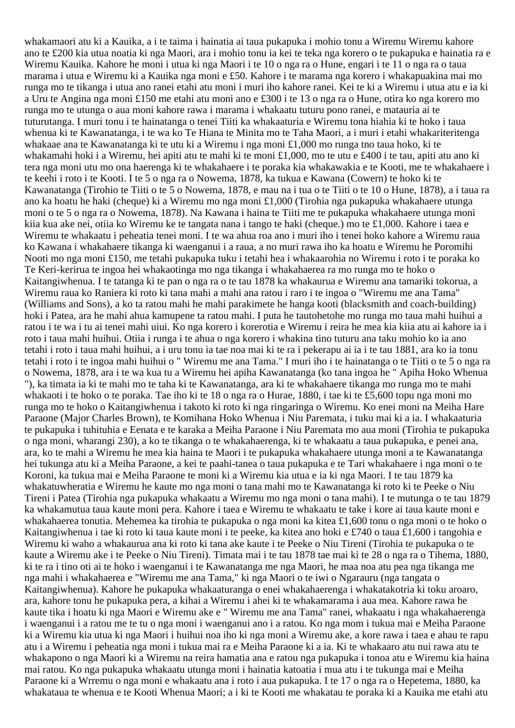whakamaori atu ki a Kauika, a i te taima i hainatia ai taua pukapuka i mohio tonu a Wiremu Wiremu kahore ano te £200 kia utua noatia ki nga Maori, ara i mohio tonu ia kei te teka nga korero o te pukapuka e hainatia ra e Wiremu Kauika. Kahore he moni i utua ki nga Maori i te 10 o nga ra o Hune, engari i te 11 o nga ra o taua marama i utua e Wiremu ki a Kauika nga moni e £50. Kahore i te marama nga korero i whakapuakina mai mo runga mo te tikanga i utua ano ranei etahi atu moni i muri iho kahore ranei. Kei te ki a Wiremu i utua atu e ia ki a Uru te Angina nga moni £150 me etahi atu moni ano e £300 i te 13 o nga ra o Hune, otira ko nga korero mo runga mo te utunga o aua moni kahore rawa i marama i whakaatu tuturu pono ranei, e matauria ai te tuturutanga. I muri tonu i te hainatanga o tenei Tiiti ka whakaaturia e Wiremu tona hiahia ki te hoko i taua whenua ki te Kawanatanga, i te wa ko Te Hiana te Minita mo te Taha Maori, a i muri i etahi whakariteritenga whakaae ana te Kawanatanga ki te utu ki a Wiremu i nga moni £1,000 mo runga tno taua hoko, ki te whakamahi hoki i a Wiremu, hei apiti atu te mahi ki te moni £1,000, mo te utu e £400 i te tau, apiti atu ano ki tera nga moni utu mo ona haerenga ki te whakahaere i te poraka kia whakawakia e te Kooti, me te whakahaere i te keehi i roto i te Kooti. I te 5 o nga ra o Nowema, 1878, ka tukua e Kawana (Cowern) te hoko ki te Kawanatanga (Tirohio te Tiiti o te 5 o Nowema, 1878, e mau na i tua o te Tiiti o te 10 o Hune, 1878), a i taua ra ano ka hoatu he haki (cheque) ki a Wiremu mo nga moni £1,000 (Tirohia nga pukapuka whakahaere utunga moni o te 5 o nga ra o Nowema, 1878). Na Kawana i haina te Tiiti me te pukapuka whakahaere utunga moni kiia kua ake nei, otiia ko Wiremu ke te tangata nana i tango te haki (cheque.) mo te £1,000. Kahore i taea e Wiremu te whakaatu i peheatia tenei moni. I te wa ahua roa ano i muri iho i tenei hoko kahore a Wiremu raua ko Kawana i whakahaere tikanga ki waenganui i a raua, a no muri rawa iho ka hoatu e Wiremu he Poromihi Nooti mo nga moni £150, me tetahi pukapuka tuku i tetahi hea i whakaarohia no Wiremu i roto i te poraka ko Te Keri-kerirua te ingoa hei whakaotinga mo nga tikanga i whakahaerea ra mo runga mo te hoko o Kaitangiwhenua. I te tatanga ki te pan o nga ra o te tau 1878 ka whakaurua e Wiremu ana tamariki tokorua, a Wiremu raua ko Raniera ki roto ki tana mahi a mahi ana ratou i raro i te ingoa o "Wiremu me ana Tama" (Williams and Sons), a ko ta ratou mahi he mahi parakimete he hanga kooti (blacksmith and coach-building) hoki i Patea, ara he mahi ahua kamupene ta ratou mahi. I puta he tautohetohe mo runga mo taua mahi huihui a ratou i te wa i tu ai tenei mahi uiui. Ko nga korero i korerotia e Wiremu i reira he mea kia kiia atu ai kahore ia i roto i taua mahi huihui. Otiia i runga i te ahua o nga korero i whakina tino tuturu ana taku mohio ko ia ano tetahi i roto i taua mahi huihui, a i uru tonu ia tae noa mai ki te ra i pekerapu ai ia i te tau 1881, ara ko ia tonu tetahi i roto i te ingoa mahi huihui o " Wiremu me ana Tama." I muri iho i te hainatanga o te Tiiti o te 5 o nga ra o Nowema, 1878, ara i te wa kua tu a Wiremu hei apiha Kawanatanga (ko tana ingoa he " Apiha Hoko Whenua "), ka timata ia ki te mahi mo te taha ki te Kawanatanga, ara ki te whakahaere tikanga mo runga mo te mahi whakaoti i te hoko o te poraka. Tae iho ki te 18 o nga ra o Hurae, 1880, i tae ki te £5,600 topu nga moni mo runga mo te hoko o Kaitangiwhenua i takoto ki roto ki nga ringaringa o Wiremu. Ko enei moni na Meiha Hare Paraone (Major Charles Brown), te Komihana Hoko Whenua i Niu Paremata, i tuku mai ki a ia. I whakaaturia te pukapuka i tuhituhia e Eenata e te karaka a Meiha Paraone i Niu Paremata mo aua moni (Tirohia te pukapuka o nga moni, wharangi 230), a ko te tikanga o te whakahaerenga, ki te whakaatu a taua pukapuka, e penei ana, ara, ko te mahi a Wiremu he mea kia haina te Maori i te pukapuka whakahaere utunga moni a te Kawanatanga hei tukunga atu ki a Meiha Paraone, a kei te paahi-tanea o taua pukapuka e te Tari whakahaere i nga moni o te Koroni, ka tukua mai e Meiha Paraone te moni ki a Wiremu kia utua e ia ki nga Maori. I te tau 1879 ka whakatuwheratia e Wiremu he kaute mo nga moni o tana mahi mo te Kawanatanga ki roto ki te Peeke o Niu Tireni i Patea (Tirohia nga pukapuka whakaatu a Wiremu mo nga moni o tana mahi). I te mutunga o te tau 1879 ka whakamutua taua kaute moni pera. Kahore i taea e Wiremu te whakaatu te take i kore ai taua kaute moni e whakahaerea tonutia. Mehemea ka tirohia te pukapuka o nga moni ka kitea £1,600 tonu o nga moni o te hoko o Kaitangiwhenua i tae ki roto ki taua kaute moni i te peeke, ka kitea ano hoki e £740 o taua £1,600 i tangohia e Wiremu ki waho a whakaurua ana ki roto ki tana ake kaute i te Peeke o Niu Tireni (Tirohia te pukapuka o te kaute a Wiremu ake i te Peeke o Niu Tireni). Timata mai i te tau 1878 tae mai ki te 28 o nga ra o Tihema, 1880, ki te ra i tino oti ai te hoko i waenganui i te Kawanatanga me nga Maori, he maa noa atu pea nga tikanga me nga mahi i whakahaerea e "Wiremu me ana Tama," ki nga Maori o te iwi o Ngarauru (nga tangata o Kaitangiwhenua). Kahore he pukapuka whakaaturanga o enei whakahaerenga i whakatakotria ki toku aroaro, ara, kahore tonu he pukapuka pera, a kihai a Wiremu i ahei ki te whakamarama i aua mea. Kahore rawa he kaute tika i hoatu ki nga Maori e Wiremu ake e " Wiremu me ana Tama" ranei, whakaatu i nga whakahaerenga i waenganui i a ratou me te tu o nga moni i waenganui ano i a ratou. Ko nga mom i tukua mai e Meiha Paraone ki a Wiremu kia utua ki nga Maori i huihui noa iho ki nga moni a Wiremu ake, a kore rawa i taea e ahau te rapu atu i a Wiremu i peheatia nga moni i tukua mai ra e Meiha Paraone ki a ia. Ki te whakaaro atu nui rawa atu te whakapono o nga Maori ki a Wiremu na reira hamatia ana e ratou nga pukapuka i tonoa atu e Wiremu kia haina mai ratou. Ko nga pukapuka whakaatu utunga moni i hainatia katoatia i mua atu i te tukunga mai e Meiha Paraone ki a Wrremu o nga moni e whakaatu ana i roto i aua pukapuka. I te 17 o nga ra o Hepetema, 1880, ka whakataua te whenua e te Kooti Whenua Maori; a i ki te Kooti me whakatau te poraka ki a Kauika me etahi atu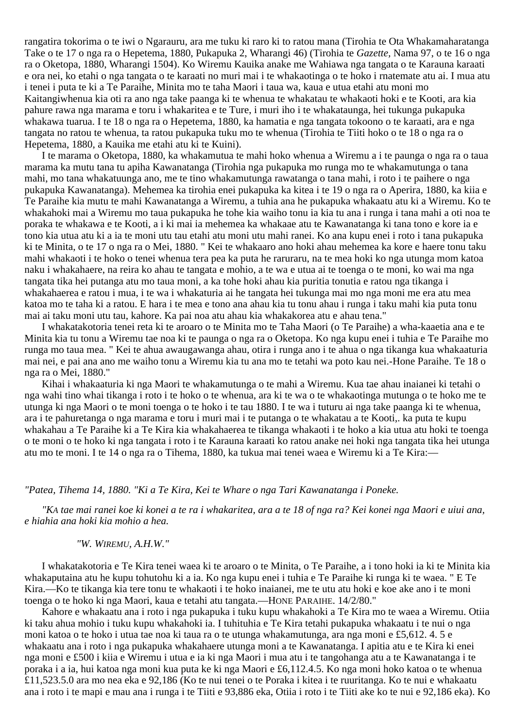rangatira tokorima o te iwi o Ngarauru, ara me tuku ki raro ki to ratou mana (Tirohia te Ota Whakamaharatanga Take o te 17 o nga ra o Hepetema, 1880, Pukapuka 2, Wharangi 46) (Tirohia te *Gazette,* Nama 97, o te 16 o nga ra o Oketopa, 1880, Wharangi 1504). Ko Wiremu Kauika anake me Wahiawa nga tangata o te Karauna karaati e ora nei, ko etahi o nga tangata o te karaati no muri mai i te whakaotinga o te hoko i rnatemate atu ai. I mua atu i tenei i puta te ki a Te Paraihe, Minita mo te taha Maori i taua wa, kaua e utua etahi atu moni mo Kaitangiwhenua kia oti ra ano nga take paanga ki te whenua te whakatau te whakaoti hoki e te Kooti, ara kia pahure rawa nga marama e toru i whakaritea e te Ture, i muri iho i te whakataunga, hei tukunga pukapuka whakawa tuarua. I te 18 o nga ra o Hepetema, 1880, ka hamatia e nga tangata tokoono o te karaati, ara e nga tangata no ratou te whenua, ta ratou pukapuka tuku mo te whenua (Tirohia te Tiiti hoko o te 18 o nga ra o Hepetema, 1880, a Kauika me etahi atu ki te Kuini).

I te marama o Oketopa, 1880, ka whakamutua te mahi hoko whenua a Wiremu a i te paunga o nga ra o taua marama ka mutu tana tu apiha Kawanatanga (Tirohia nga pukapuka mo runga mo te whakamutunga o tana mahi, mo tana whakatuunga ano, me te tino whakamutunga rawatanga o tana mahi, i roto i te paihere o nga pukapuka Kawanatanga). Mehemea ka tirohia enei pukapuka ka kitea i te 19 o nga ra o Aperira, 1880, ka kiia e Te Paraihe kia mutu te mahi Kawanatanga a Wiremu, a tuhia ana he pukapuka whakaatu atu ki a Wiremu. Ko te whakahoki mai a Wiremu mo taua pukapuka he tohe kia waiho tonu ia kia tu ana i runga i tana mahi a oti noa te poraka te whakawa e te Kooti, a i ki mai ia mehemea ka whakaae atu te Kawanatanga ki tana tono e kore ia e tono kia utua atu ki a ia te moni utu tau etahi atu moni utu mahi ranei. Ko ana kupu enei i roto i tana pukapuka ki te Minita, o te 17 o nga ra o Mei, 1880. " Kei te whakaaro ano hoki ahau mehemea ka kore e haere tonu taku mahi whakaoti i te hoko o tenei whenua tera pea ka puta he raruraru, na te mea hoki ko nga utunga mom katoa naku i whakahaere, na reira ko ahau te tangata e mohio, a te wa e utua ai te toenga o te moni, ko wai ma nga tangata tika hei putanga atu mo taua moni, a ka tohe hoki ahau kia puritia tonutia e ratou nga tikanga i whakahaerea e ratou i mua, i te wa i whakaturia ai he tangata hei tukunga mai mo nga moni me era atu mea katoa mo te taha ki a ratou. E hara i te mea e tono ana ahau kia tu tonu ahau i runga i taku mahi kia puta tonu mai ai taku moni utu tau, kahore. Ka pai noa atu ahau kia whakakorea atu e ahau tena."

I whakatakotoria tenei reta ki te aroaro o te Minita mo te Taha Maori (o Te Paraihe) a wha-kaaetia ana e te Minita kia tu tonu a Wiremu tae noa ki te paunga o nga ra o Oketopa. Ko nga kupu enei i tuhia e Te Paraihe mo runga mo taua mea. " Kei te ahua awaugawanga ahau, otira i runga ano i te ahua o nga tikanga kua whakaaturia mai nei, e pai ana ano me waiho tonu a Wiremu kia tu ana mo te tetahi wa poto kau nei.-Hone Paraihe. Te 18 o nga ra o Mei, 1880."

Kihai i whakaaturia ki nga Maori te whakamutunga o te mahi a Wiremu. Kua tae ahau inaianei ki tetahi o nga wahi tino whai tikanga i roto i te hoko o te whenua, ara ki te wa o te whakaotinga mutunga o te hoko me te utunga ki nga Maori o te moni toenga o te hoko i te tau 1880. I te wa i tuturu ai nga take paanga ki te whenua, ara i te pahuretanga o nga marama e toru i muri mai i te putanga o te whakatau a te Kooti,. ka puta te kupu whakahau a Te Paraihe ki a Te Kira kia whakahaerea te tikanga whakaoti i te hoko a kia utua atu hoki te toenga o te moni o te hoko ki nga tangata i roto i te Karauna karaati ko ratou anake nei hoki nga tangata tika hei utunga atu mo te moni. I te 14 o nga ra o Tihema, 1880, ka tukua mai tenei waea e Wiremu ki a Te Kira:—

## *"Patea, Tihema 14, 1880. "Ki a Te Kira, Kei te Whare o nga Tari Kawanatanga i Poneke.*

*"KA tae mai ranei koe ki konei a te ra i whakaritea, ara a te 18 of nga ra? Kei konei nga Maori e uiui ana, e hiahia ana hoki kia mohio a hea.*

## *"W. WIREMU, A.H.W."*

I whakatakotoria e Te Kira tenei waea ki te aroaro o te Minita, o Te Paraihe, a i tono hoki ia ki te Minita kia whakaputaina atu he kupu tohutohu ki a ia. Ko nga kupu enei i tuhia e Te Paraihe ki runga ki te waea. " E Te Kira.—Ko te tikanga kia tere tonu te whakaoti i te hoko inaianei, me te utu atu hoki e koe ake ano i te moni toenga o te hoko ki nga Maori, kaua e tetahi atu tangata.—HONE PARAIHE. 14/2/80."

Kahore e whakaatu ana i roto i nga pukapuka i tuku kupu whakahoki a Te Kira mo te waea a Wiremu. Otiia ki taku ahua mohio i tuku kupu whakahoki ia. I tuhituhia e Te Kira tetahi pukapuka whakaatu i te nui o nga moni katoa o te hoko i utua tae noa ki taua ra o te utunga whakamutunga, ara nga moni e £5,612. 4. 5 e whakaatu ana i roto i nga pukapuka whakahaere utunga moni a te Kawanatanga. I apitia atu e te Kira ki enei nga moni e £500 i kiia e Wiremu i utua e ia ki nga Maori i mua atu i te tangohanga atu a te Kawanatanga i te poraka i a ia, hui katoa nga moni kua puta ke ki nga Maori e £6,112.4.5. Ko nga moni hoko katoa o te whenua £11,523.5.0 ara mo nea eka e 92,186 (Ko te nui tenei o te Poraka i kitea i te ruuritanga. Ko te nui e whakaatu ana i roto i te mapi e mau ana i runga i te Tiiti e 93,886 eka, Otiia i roto i te Tiiti ake ko te nui e 92,186 eka). Ko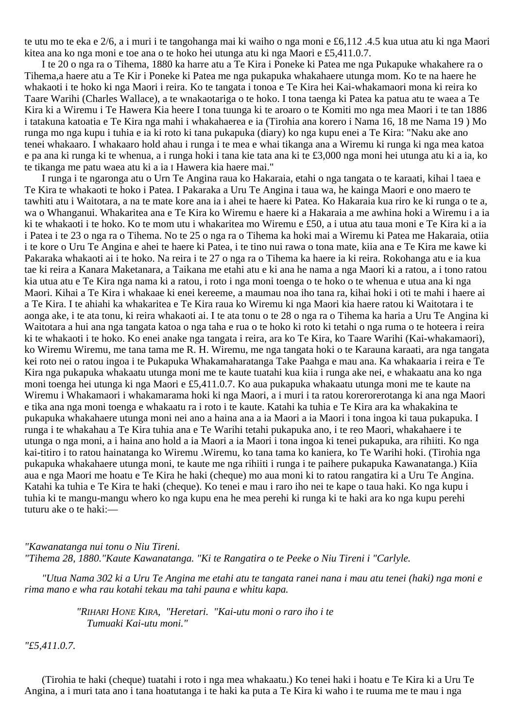te utu mo te eka e 2/6, a i muri i te tangohanga mai ki waiho o nga moni e £6,112 .4.5 kua utua atu ki nga Maori kitea ana ko nga moni e toe ana o te hoko hei utunga atu ki nga Maori e £5,411.0.7.

I te 20 o nga ra o Tihema, 1880 ka harre atu a Te Kira i Poneke ki Patea me nga Pukapuke whakahere ra o Tihema,a haere atu a Te Kir i Poneke ki Patea me nga pukapuka whakahaere utunga mom. Ko te na haere he whakaoti i te hoko ki nga Maori i reira. Ko te tangata i tonoa e Te Kira hei Kai-whakamaori mona ki reira ko Taare Warihi (Charles Wallace), a te wnakaotariga o te hoko. I tona taenga ki Patea ka patua atu te waea a Te Kira ki a Wiremu i Te Hawera Kia heere I tona tuunga ki te aroaro o te Komiti mo nga mea Maori i te tan 1886 i tatakuna katoatia e Te Kira nga mahi i whakahaerea e ia (Tirohia ana korero i Nama 16, 18 me Nama 19 ) Mo runga mo nga kupu i tuhia e ia ki roto ki tana pukapuka (diary) ko nga kupu enei a Te Kira: "Naku ake ano tenei whakaaro. I whakaaro hold ahau i runga i te mea e whai tikanga ana a Wiremu ki runga ki nga mea katoa e pa ana ki runga ki te whenua, a i runga hoki i tana kie tata ana ki te £3,000 nga moni hei utunga atu ki a ia, ko te tikanga me patu waea atu ki a ia I Hawera kia haere mai."

I runga i te ngaronga atu o Urn Te Angina raua ko Hakaraia, etahi o nga tangata o te karaati, kihai l taea e Te Kira te whakaoti te hoko i Patea. I Pakaraka a Uru Te Angina i taua wa, he kainga Maori e ono maero te tawhiti atu i Waitotara, a na te mate kore ana ia i ahei te haere ki Patea. Ko Hakaraia kua riro ke ki runga o te a, wa o Whanganui. Whakaritea ana e Te Kira ko Wiremu e haere ki a Hakaraia a me awhina hoki a Wiremu i a ia ki te whakaoti i te hoko. Ko te mom utu i whakaritea mo Wiremu e £50, a i utua atu taua moni e Te Kira ki a ia i Patea i te 23 o nga ra o Tihema. No te 25 o nga ra o Tihema ka hoki mai a Wiremu ki Patea me Hakaraia, otiia i te kore o Uru Te Angina e ahei te haere ki Patea, i te tino nui rawa o tona mate, kiia ana e Te Kira me kawe ki Pakaraka whakaoti ai i te hoko. Na reira i te 27 o nga ra o Tihema ka haere ia ki reira. Rokohanga atu e ia kua tae ki reira a Kanara Maketanara, a Taikana me etahi atu e ki ana he nama a nga Maori ki a ratou, a i tono ratou kia utua atu e Te Kira nga nama ki a ratou, i roto i nga moni toenga o te hoko o te whenua e utua ana ki nga Maori. Kihai a Te Kira i whakaae ki enei kereeme, a maumau noa iho tana ra, kihai hoki i oti te mahi i haere ai a Te Kira. I te ahiahi ka whakaritea e Te Kira raua ko Wiremu ki nga Maori kia haere ratou ki Waitotara i te aonga ake, i te ata tonu, ki reira whakaoti ai. I te ata tonu o te 28 o nga ra o Tihema ka haria a Uru Te Angina ki Waitotara a hui ana nga tangata katoa o nga taha e rua o te hoko ki roto ki tetahi o nga ruma o te hoteera i reira ki te whakaoti i te hoko. Ko enei anake nga tangata i reira, ara ko Te Kira, ko Taare Warihi (Kai-whakamaori), ko Wiremu Wiremu, me tana tama me R. H. Wiremu, me nga tangata hoki o te Karauna karaati, ara nga tangata kei roto nei o ratou ingoa i te Pukapuka Whakamaharatanga Take Paahga e mau ana. Ka whakaaria i reira e Te Kira nga pukapuka whakaatu utunga moni me te kaute tuatahi kua kiia i runga ake nei, e whakaatu ana ko nga moni toenga hei utunga ki nga Maori e £5,411.0.7. Ko aua pukapuka whakaatu utunga moni me te kaute na Wiremu i Whakamaori i whakamarama hoki ki nga Maori, a i muri i ta ratou korerorerotanga ki ana nga Maori e tika ana nga moni toenga e whakaatu ra i roto i te kaute. Katahi ka tuhia e Te Kira ara ka whakakina te pukapuka whakahaere utunga moni nei ano a haina ana a ia Maori a ia Maori i tona ingoa ki taua pukapuka. I runga i te whakahau a Te Kira tuhia ana e Te Warihi tetahi pukapuka ano, i te reo Maori, whakahaere i te utunga o nga moni, a i haina ano hold a ia Maori a ia Maori i tona ingoa ki tenei pukapuka, ara rihiiti. Ko nga kai-titiro i to ratou hainatanga ko Wiremu .Wiremu, ko tana tama ko kaniera, ko Te Warihi hoki. (Tirohia nga pukapuka whakahaere utunga moni, te kaute me nga rihiiti i runga i te paihere pukapuka Kawanatanga.) Kiia aua e nga Maori me hoatu e Te Kira he haki (cheque) mo aua moni ki to ratou rangatira ki a Uru Te Angina. Katahi ka tuhia e Te Kira te haki (cheque). Ko tenei e mau i raro iho nei te kape o taua haki. Ko nga kupu i tuhia ki te mangu-mangu whero ko nga kupu ena he mea perehi ki runga ki te haki ara ko nga kupu perehi tuturu ake o te haki:—

*"Kawanatanga nui tonu o Niu Tireni. "Tihema 28, 1880."Kaute Kawanatanga. "Ki te Rangatira o te Peeke o Niu Tireni i "Carlyle.*

*"Utua Nama 302 ki a Uru Te Angina me etahi atu te tangata ranei nana i mau atu tenei (haki) nga moni e rima mano e wha rau kotahi tekau ma tahi pauna e whitu kapa.*

> *"RIHARI HONE KIRA, "Heretari. "Kai-utu moni o raro iho i te Tumuaki Kai-utu moni."*

*"£5,411.0.7.*

(Tirohia te haki (cheque) tuatahi i roto i nga mea whakaatu.) Ko tenei haki i hoatu e Te Kira ki a Uru Te Angina, a i muri tata ano i tana hoatutanga i te haki ka puta a Te Kira ki waho i te ruuma me te mau i nga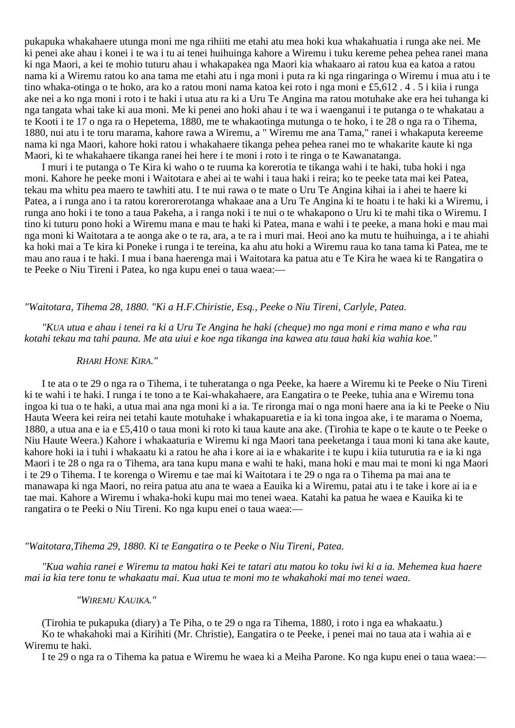pukapuka whakahaere utunga moni me nga rihiiti me etahi atu mea hoki kua whakahuatia i runga ake nei. Me ki penei ake ahau i konei i te wa i tu ai tenei huihuinga kahore a Wiremu i tuku kereme pehea pehea ranei mana ki nga Maori, a kei te mohio tuturu ahau i whakapakea nga Maori kia whakaaro ai ratou kua ea katoa a ratou nama ki a Wiremu ratou ko ana tama me etahi atu i nga moni i puta ra ki nga ringaringa o Wiremu i mua atu i te tino whaka-otinga o te hoko, ara ko a ratou moni nama katoa kei roto i nga moni e £5,612 . 4 . 5 i kiia i runga ake nei a ko nga moni i roto i te haki i utua atu ra ki a Uru Te Angina ma ratou motuhake ake era hei tuhanga ki nga tangata whai take ki aua moni. Me ki penei ano hoki ahau i te wa i waenganui i te putanga o te whakatau a te Kooti i te 17 o nga ra o Hepetema, 1880, me te whakaotinga mutunga o te hoko, i te 28 o nga ra o Tihema, 1880, nui atu i te toru marama, kahore rawa a Wiremu, a " Wiremu me ana Tama," ranei i whakaputa kereeme nama ki nga Maori, kahore hoki ratou i whakahaere tikanga pehea pehea ranei mo te whakarite kaute ki nga Maori, ki te whakahaere tikanga ranei hei here i te moni i roto i te ringa o te Kawanatanga.

I muri i te putanga o Te Kira ki waho o te ruuma ka korerotia te tikanga wahi i te haki, tuba hoki i nga moni. Kahore he peeke moni i Waitotara e ahei ai te wahi i taua haki i reira; ko te peeke tata mai kei Patea, tekau ma whitu pea maero te tawhiti atu. I te nui rawa o te mate o Uru Te Angina kihai ia i ahei te haere ki Patea, a i runga ano i ta ratou korerorerotanga whakaae ana a Uru Te Angina ki te hoatu i te haki ki a Wiremu, i runga ano hoki i te tono a taua Pakeha, a i ranga noki i te nui o te whakapono o Uru ki te mahi tika o Wiremu. I tino ki tuturu pono hoki a Wiremu mana e mau te haki ki Patea, mana e wahi i te peeke, a mana hoki e mau mai nga moni ki Waitotara a te aonga ake o te ra, ara, a te ra i muri mai. Heoi ano ka mutu te huihuinga, a i te ahiahi ka hoki mai a Te kira ki Poneke i runga i te tereina, ka ahu atu hoki a Wiremu raua ko tana tama ki Patea, me te mau ano raua i te haki. I mua i bana haerenga mai i Waitotara ka patua atu e Te Kira he waea ki te Rangatira o te Peeke o Niu Tireni i Patea, ko nga kupu enei o taua waea:—

# *"Waitotara, Tihema 28, 1880. "Ki a H.F.Chiristie, Esq., Peeke o Niu Tireni, Carlyle, Patea.*

*"KUA utua e ahau i tenei ra ki a Uru Te Angina he haki (cheque) mo nga moni e rima mano e wha rau kotahi tekau ma tahi pauna. Me ata uiui e koe nga tikanga ina kawea atu taua haki kia wahia koe."*

## *RHARI HONE KIRA."*

I te ata o te 29 o nga ra o Tihema, i te tuheratanga o nga Peeke, ka haere a Wiremu ki te Peeke o Niu Tireni ki te wahi i te haki. I runga i te tono a te Kai-whakahaere, ara Eangatira o te Peeke, tuhia ana e Wiremu tona ingoa ki tua o te haki, a utua mai ana nga moni ki a ia. Te rironga mai o nga moni haere ana ia ki te Peeke o Niu Hauta Weera kei reira nei tetahi kaute motuhake i whakapuaretia e ia ki tona ingoa ake, i te marama o Noema, 1880, a utua ana e ia e £5,410 o taua moni ki roto ki taua kaute ana ake. (Tirohia te kape o te kaute o te Peeke o Niu Haute Weera.) Kahore i whakaaturia e Wiremu ki nga Maori tana peeketanga i taua moni ki tana ake kaute, kahore hoki ia i tuhi i whakaatu ki a ratou he aha i kore ai ia e whakarite i te kupu i kiia tuturutia ra e ia ki nga Maori i te 28 o nga ra o Tihema, ara tana kupu mana e wahi te haki, mana hoki e mau mai te moni ki nga Maori i te 29 o Tihema. I te korenga o Wiremu e tae mai ki Waitotara i te 29 o nga ra o Tihema pa mai ana te manawapa ki nga Maori, no reira patua atu ana te waea a Eauika ki a Wiremu, patai atu i te take i kore ai ia e tae mai. Kahore a Wiremu i whaka-hoki kupu mai mo tenei waea. Katahi ka patua he waea e Kauika ki te rangatira o te Peeki o Niu Tireni. Ko nga kupu enei o taua waea:—

## *"Waitotara,Tihema 29, 1880. Ki te Eangatira o te Peeke o Niu Tireni, Patea.*

*"Kua wahia ranei e Wiremu ta matou haki Kei te tatari atu matou ko toku iwi ki a ia. Mehemea kua haere mai ia kia tere tonu te whakaatu mai. Kua utua te moni mo te whakahoki mai mo tenei waea.*

## *"WIREMU KAUIKA."*

(Tirohia te pukapuka (diary) a Te Piha, o te 29 o nga ra Tihema, 1880, i roto i nga ea whakaatu.) Ko te whakahoki mai a Kirihiti (Mr. Christie), Eangatira o te Peeke, i penei mai no taua ata i wahia ai e Wiremu te haki.

I te 29 o nga ra o Tihema ka patua e Wiremu he waea ki a Meiha Parone. Ko nga kupu enei o taua waea:—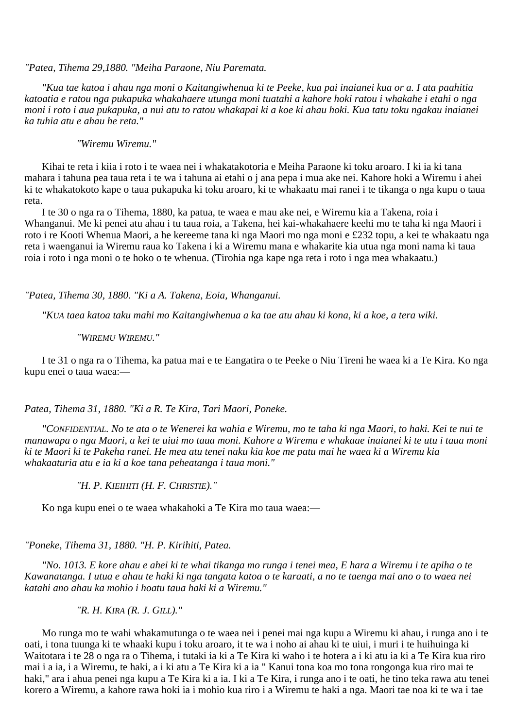## *"Patea, Tihema 29,1880. "Meiha Paraone, Niu Paremata.*

*"Kua tae katoa i ahau nga moni o Kaitangiwhenua ki te Peeke, kua pai inaianei kua or a. I ata paahitia katoatia e ratou nga pukapuka whakahaere utunga moni tuatahi a kahore hoki ratou i whakahe i etahi o nga moni i roto i aua pukapuka, a nui atu to ratou whakapai ki a koe ki ahau hoki. Kua tatu toku ngakau inaianei ka tuhia atu e ahau he reta."*

*"Wiremu Wiremu."*

Kihai te reta i kiia i roto i te waea nei i whakatakotoria e Meiha Paraone ki toku aroaro. I ki ia ki tana mahara i tahuna pea taua reta i te wa i tahuna ai etahi o j ana pepa i mua ake nei. Kahore hoki a Wiremu i ahei ki te whakatokoto kape o taua pukapuka ki toku aroaro, ki te whakaatu mai ranei i te tikanga o nga kupu o taua reta.

I te 30 o nga ra o Tihema, 1880, ka patua, te waea e mau ake nei, e Wiremu kia a Takena, roia i Whanganui. Me ki penei atu ahau i tu taua roia, a Takena, hei kai-whakahaere keehi mo te taha ki nga Maori i roto i re Kooti Whenua Maori, a he kereeme tana ki nga Maori mo nga moni e £232 topu, a kei te whakaatu nga reta i waenganui ia Wiremu raua ko Takena i ki a Wiremu mana e whakarite kia utua nga moni nama ki taua roia i roto i nga moni o te hoko o te whenua. (Tirohia nga kape nga reta i roto i nga mea whakaatu.)

*"Patea, Tihema 30, 1880. "Ki a A. Takena, Eoia, Whanganui.*

*"KUA taea katoa taku mahi mo Kaitangiwhenua a ka tae atu ahau ki kona, ki a koe, a tera wiki.*

*"WIREMU WIREMU."*

I te 31 o nga ra o Tihema, ka patua mai e te Eangatira o te Peeke o Niu Tireni he waea ki a Te Kira. Ko nga kupu enei o taua waea:—

## *Patea, Tihema 31, 1880. "Ki a R. Te Kira, Tari Maori, Poneke.*

*"CONFIDENTIAL. No te ata o te Wenerei ka wahia e Wiremu, mo te taha ki nga Maori, to haki. Kei te nui te manawapa o nga Maori, a kei te uiui mo taua moni. Kahore a Wiremu e whakaae inaianei ki te utu i taua moni ki te Maori ki te Pakeha ranei. He mea atu tenei naku kia koe me patu mai he waea ki a Wiremu kia whakaaturia atu e ia ki a koe tana peheatanga i taua moni."*

*"H. P. KIEIHITI (H. F. CHRISTIE)."*

Ko nga kupu enei o te waea whakahoki a Te Kira mo taua waea:—

*"Poneke, Tihema 31, 1880. "H. P. Kirihiti, Patea.*

*"No. 1013. E kore ahau e ahei ki te whai tikanga mo runga i tenei mea, E hara a Wiremu i te apiha o te Kawanatanga. I utua e ahau te haki ki nga tangata katoa o te karaati, a no te taenga mai ano o to waea nei katahi ano ahau ka mohio i hoatu taua haki ki a Wiremu."*

*"R. H. KIRA (R. J. GILL)."*

Mo runga mo te wahi whakamutunga o te waea nei i penei mai nga kupu a Wiremu ki ahau, i runga ano i te oati, i tona tuunga ki te whaaki kupu i toku aroaro, it te wa i noho ai ahau ki te uiui, i muri i te huihuinga ki Waitotara i te 28 o nga ra o Tihema, i tutaki ia ki a Te Kira ki waho i te hotera a i ki atu ia ki a Te Kira kua riro mai i a ia, i a Wiremu, te haki, a i ki atu a Te Kira ki a ia " Kanui tona koa mo tona rongonga kua riro mai te haki," ara i ahua penei nga kupu a Te Kira ki a ia. I ki a Te Kira, i runga ano i te oati, he tino teka rawa atu tenei korero a Wiremu, a kahore rawa hoki ia i mohio kua riro i a Wiremu te haki a nga. Maori tae noa ki te wa i tae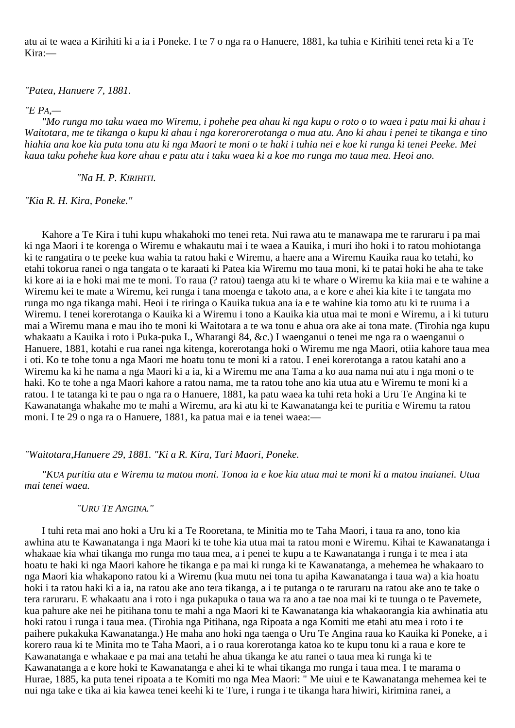atu ai te waea a Kirihiti ki a ia i Poneke. I te 7 o nga ra o Hanuere, 1881, ka tuhia e Kirihiti tenei reta ki a Te Kira:—

*"Patea, Hanuere 7, 1881.*

# *"E PA,—*

*"Mo runga mo taku waea mo Wiremu, i pohehe pea ahau ki nga kupu o roto o to waea i patu mai ki ahau i Waitotara, me te tikanga o kupu ki ahau i nga korerorerotanga o mua atu. Ano ki ahau i penei te tikanga e tino hiahia ana koe kia puta tonu atu ki nga Maori te moni o te haki i tuhia nei e koe ki runga ki tenei Peeke. Mei kaua taku pohehe kua kore ahau e patu atu i taku waea ki a koe mo runga mo taua mea. Heoi ano.*

*"Na H. P. KIRIHITI.*

*"Kia R. H. Kira, Poneke."*

Kahore a Te Kira i tuhi kupu whakahoki mo tenei reta. Nui rawa atu te manawapa me te raruraru i pa mai ki nga Maori i te korenga o Wiremu e whakautu mai i te waea a Kauika, i muri iho hoki i to ratou mohiotanga ki te rangatira o te peeke kua wahia ta ratou haki e Wiremu, a haere ana a Wiremu Kauika raua ko tetahi, ko etahi tokorua ranei o nga tangata o te karaati ki Patea kia Wiremu mo taua moni, ki te patai hoki he aha te take ki kore ai ia e hoki mai me te moni. To raua (? ratou) taenga atu ki te whare o Wiremu ka kiia mai e te wahine a Wiremu kei te mate a Wiremu, kei runga i tana moenga e takoto ana, a e kore e ahei kia kite i te tangata mo runga mo nga tikanga mahi. Heoi i te riringa o Kauika tukua ana ia e te wahine kia tomo atu ki te ruuma i a Wiremu. I tenei korerotanga o Kauika ki a Wiremu i tono a Kauika kia utua mai te moni e Wiremu, a i ki tuturu mai a Wiremu mana e mau iho te moni ki Waitotara a te wa tonu e ahua ora ake ai tona mate. (Tirohia nga kupu whakaatu a Kauika i roto i Puka-puka I., Wharangi 84, &c.) I waenganui o tenei me nga ra o waenganui o Hanuere, 1881, kotahi e rua ranei nga kitenga, korerotanga hoki o Wiremu me nga Maori, otiia kahore taua mea i oti. Ko te tohe tonu a nga Maori me hoatu tonu te moni ki a ratou. I enei korerotanga a ratou katahi ano a Wiremu ka ki he nama a nga Maori ki a ia, ki a Wiremu me ana Tama a ko aua nama nui atu i nga moni o te haki. Ko te tohe a nga Maori kahore a ratou nama, me ta ratou tohe ano kia utua atu e Wiremu te moni ki a ratou. I te tatanga ki te pau o nga ra o Hanuere, 1881, ka patu waea ka tuhi reta hoki a Uru Te Angina ki te Kawanatanga whakahe mo te mahi a Wiremu, ara ki atu ki te Kawanatanga kei te puritia e Wiremu ta ratou moni. I te 29 o nga ra o Hanuere, 1881, ka patua mai e ia tenei waea:—

## *"Waitotara,Hanuere 29, 1881. "Ki a R. Kira, Tari Maori, Poneke.*

*"KUA puritia atu e Wiremu ta matou moni. Tonoa ia e koe kia utua mai te moni ki a matou inaianei. Utua mai tenei waea.*

## *"URU TE ANGINA."*

I tuhi reta mai ano hoki a Uru ki a Te Rooretana, te Minitia mo te Taha Maori, i taua ra ano, tono kia awhina atu te Kawanatanga i nga Maori ki te tohe kia utua mai ta ratou moni e Wiremu. Kihai te Kawanatanga i whakaae kia whai tikanga mo runga mo taua mea, a i penei te kupu a te Kawanatanga i runga i te mea i ata hoatu te haki ki nga Maori kahore he tikanga e pa mai ki runga ki te Kawanatanga, a mehemea he whakaaro to nga Maori kia whakapono ratou ki a Wiremu (kua mutu nei tona tu apiha Kawanatanga i taua wa) a kia hoatu hoki i ta ratou haki ki a ia, na ratou ake ano tera tikanga, a i te putanga o te raruraru na ratou ake ano te take o tera raruraru. E whakaatu ana i roto i nga pukapuka o taua wa ra ano a tae noa mai ki te tuunga o te Pavemete, kua pahure ake nei he pitihana tonu te mahi a nga Maori ki te Kawanatanga kia whakaorangia kia awhinatia atu hoki ratou i runga i taua mea. (Tirohia nga Pitihana, nga Ripoata a nga Komiti me etahi atu mea i roto i te paihere pukakuka Kawanatanga.) He maha ano hoki nga taenga o Uru Te Angina raua ko Kauika ki Poneke, a i korero raua ki te Minita mo te Taha Maori, a i o raua korerotanga katoa ko te kupu tonu ki a raua e kore te Kawanatanga e whakaae e pa mai ana tetahi he ahua tikanga ke atu ranei o taua mea ki runga ki te Kawanatanga a e kore hoki te Kawanatanga e ahei ki te whai tikanga mo runga i taua mea. I te marama o Hurae, 1885, ka puta tenei ripoata a te Komiti mo nga Mea Maori: " Me uiui e te Kawanatanga mehemea kei te nui nga take e tika ai kia kawea tenei keehi ki te Ture, i runga i te tikanga hara hiwiri, kirimina ranei, a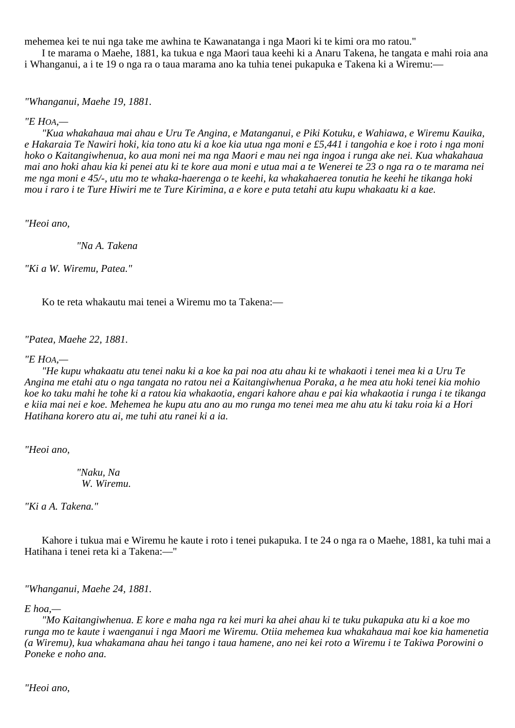mehemea kei te nui nga take me awhina te Kawanatanga i nga Maori ki te kimi ora mo ratou."

I te marama o Maehe, 1881, ka tukua e nga Maori taua keehi ki a Anaru Takena, he tangata e mahi roia ana i Whanganui, a i te 19 o nga ra o taua marama ano ka tuhia tenei pukapuka e Takena ki a Wiremu:—

*"Whanganui, Maehe 19, 1881.*

# *"E HOA,—*

*"Kua whakahaua mai ahau e Uru Te Angina, e Matanganui, e Piki Kotuku, e Wahiawa, e Wiremu Kauika, e Hakaraia Te Nawiri hoki, kia tono atu ki a koe kia utua nga moni e £5,441 i tangohia e koe i roto i nga moni hoko o Kaitangiwhenua, ko aua moni nei ma nga Maori e mau nei nga ingoa i runga ake nei. Kua whakahaua mai ano hoki ahau kia ki penei atu ki te kore aua moni e utua mai a te Wenerei te 23 o nga ra o te marama nei me nga moni e 45/-, utu mo te whaka-haerenga o te keehi, ka whakahaerea tonutia he keehi he tikanga hoki mou i raro i te Ture Hiwiri me te Ture Kirimina, a e kore e puta tetahi atu kupu whakaatu ki a kae.*

*"Heoi ano,*

*"Na A. Takena*

*"Ki a W. Wiremu, Patea."*

Ko te reta whakautu mai tenei a Wiremu mo ta Takena:—

*"Patea, Maehe 22, 1881.*

# *"E HOA,—*

*"He kupu whakaatu atu tenei naku ki a koe ka pai noa atu ahau ki te whakaoti i tenei mea ki a Uru Te Angina me etahi atu o nga tangata no ratou nei a Kaitangiwhenua Poraka, a he mea atu hoki tenei kia mohio koe ko taku mahi he tohe ki a ratou kia whakaotia, engari kahore ahau e pai kia whakaotia i runga i te tikanga e kiia mai nei e koe. Mehemea he kupu atu ano au mo runga mo tenei mea me ahu atu ki taku roia ki a Hori Hatihana korero atu ai, me tuhi atu ranei ki a ia.*

*"Heoi ano,*

*"Naku, Na W. Wiremu.*

*"Ki a A. Takena."*

Kahore i tukua mai e Wiremu he kaute i roto i tenei pukapuka. I te 24 o nga ra o Maehe, 1881, ka tuhi mai a Hatihana i tenei reta ki a Takena:—"

*"Whanganui, Maehe 24, 1881.*

# *E hoa,—*

*"Mo Kaitangiwhenua. E kore e maha nga ra kei muri ka ahei ahau ki te tuku pukapuka atu ki a koe mo runga mo te kaute i waenganui i nga Maori me Wiremu. Otiia mehemea kua whakahaua mai koe kia hamenetia (a Wiremu), kua whakamana ahau hei tango i taua hamene, ano nei kei roto a Wiremu i te Takiwa Porowini o Poneke e noho ana.*

*"Heoi ano,*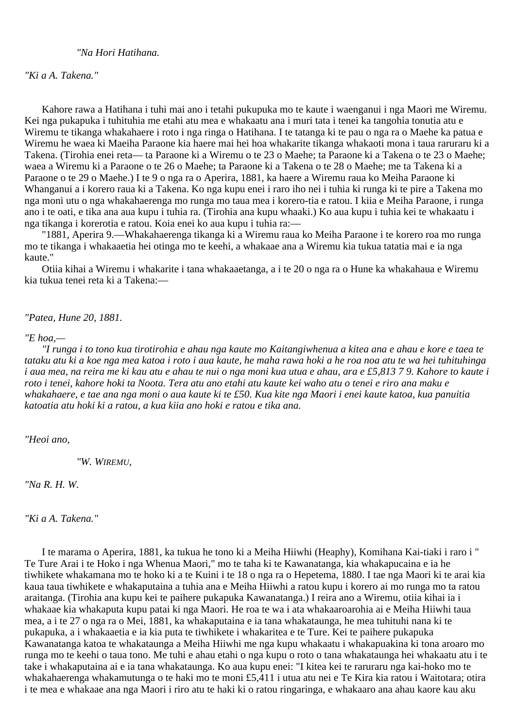# *"Na Hori Hatihana.*

*"Ki a A. Takena."*

Kahore rawa a Hatihana i tuhi mai ano i tetahi pukupuka mo te kaute i waenganui i nga Maori me Wiremu. Kei nga pukapuka i tuhituhia me etahi atu mea e whakaatu ana i muri tata i tenei ka tangohia tonutia atu e Wiremu te tikanga whakahaere i roto i nga ringa o Hatihana. I te tatanga ki te pau o nga ra o Maehe ka patua e Wiremu he waea ki Maeiha Paraone kia haere mai hei hoa whakarite tikanga whakaoti mona i taua raruraru ki a Takena. (Tirohia enei reta— ta Paraone ki a Wiremu o te 23 o Maehe; ta Paraone ki a Takena o te 23 o Maehe; waea a Wiremu ki a Paraone o te 26 o Maehe; ta Paraone ki a Takena o te 28 o Maehe; me ta Takena ki a Paraone o te 29 o Maehe.) I te 9 o nga ra o Aperira, 1881, ka haere a Wiremu raua ko Meiha Paraone ki Whanganui a i korero raua ki a Takena. Ko nga kupu enei i raro iho nei i tuhia ki runga ki te pire a Takena mo nga moni utu o nga whakahaerenga mo runga mo taua mea i korero-tia e ratou. I kiia e Meiha Paraone, i runga ano i te oati, e tika ana aua kupu i tuhia ra. (Tirohia ana kupu whaaki.) Ko aua kupu i tuhia kei te whakaatu i nga tikanga i korerotia e ratou. Koia enei ko aua kupu i tuhia ra:—

"1881, Aperira 9.—Whakahaerenga tikanga ki a Wiremu raua ko Meiha Paraone i te korero roa mo runga mo te tikanga i whakaaetia hei otinga mo te keehi, a whakaae ana a Wiremu kia tukua tatatia mai e ia nga kaute."

Otiia kihai a Wiremu i whakarite i tana whakaaetanga, a i te 20 o nga ra o Hune ka whakahaua e Wiremu kia tukua tenei reta ki a Takena:—

*"Patea, Hune 20, 1881.*

## *"E hoa,—*

*"I runga i to tono kua tirotirohia e ahau nga kaute mo Kaitangiwhenua a kitea ana e ahau e kore e taea te tataku atu ki a koe nga mea katoa i roto i aua kaute, he maha rawa hoki a he roa noa atu te wa hei tuhituhinga i aua mea, na reira me ki kau atu e ahau te nui o nga moni kua utua e ahau, ara e £5,813 7 9. Kahore to kaute i roto i tenei, kahore hoki ta Noota. Tera atu ano etahi atu kaute kei waho atu o tenei e riro ana maku e whakahaere, e tae ana nga moni o aua kaute ki te £50. Kua kite nga Maori i enei kaute katoa, kua panuitia katoatia atu hoki ki a ratou, a kua kiia ano hoki e ratou e tika ana.*

*"Heoi ano,*

*"W. WIREMU,*

*"Na R. H. W.*

*"Ki a A. Takena."*

I te marama o Aperira, 1881, ka tukua he tono ki a Meiha Hiiwhi (Heaphy), Komihana Kai-tiaki i raro i " Te Ture Arai i te Hoko i nga Whenua Maori," mo te taha ki te Kawanatanga, kia whakapucaina e ia he tiwhikete whakamana mo te hoko ki a te Kuini i te 18 o nga ra o Hepetema, 1880. I tae nga Maori ki te arai kia kaua taua tiwhikete e whakaputaina a tuhia ana e Meiha Hiiwhi a ratou kupu i korero ai mo runga mo ta ratou araitanga. (Tirohia ana kupu kei te paihere pukapuka Kawanatanga.) I reira ano a Wiremu, otiia kihai ia i whakaae kia whakaputa kupu patai ki nga Maori. He roa te wa i ata whakaaroarohia ai e Meiha Hiiwhi taua mea, a i te 27 o nga ra o Mei, 1881, ka whakaputaina e ia tana whakataunga, he mea tuhituhi nana ki te pukapuka, a i whakaaetia e ia kia puta te tiwhikete i whakaritea e te Ture. Kei te paihere pukapuka Kawanatanga katoa te whakataunga a Meiha Hiiwhi me nga kupu whakaatu i whakapuakina ki tona aroaro mo runga mo te keehi o taua tono. Me tuhi e ahau etahi o nga kupu o roto o tana whakataunga hei whakaatu atu i te take i whakaputaina ai e ia tana whakataunga. Ko aua kupu enei: "I kitea kei te raruraru nga kai-hoko mo te whakahaerenga whakamutunga o te haki mo te moni £5,411 i utua atu nei e Te Kira kia ratou i Waitotara; otira i te mea e whakaae ana nga Maori i riro atu te haki ki o ratou ringaringa, e whakaaro ana ahau kaore kau aku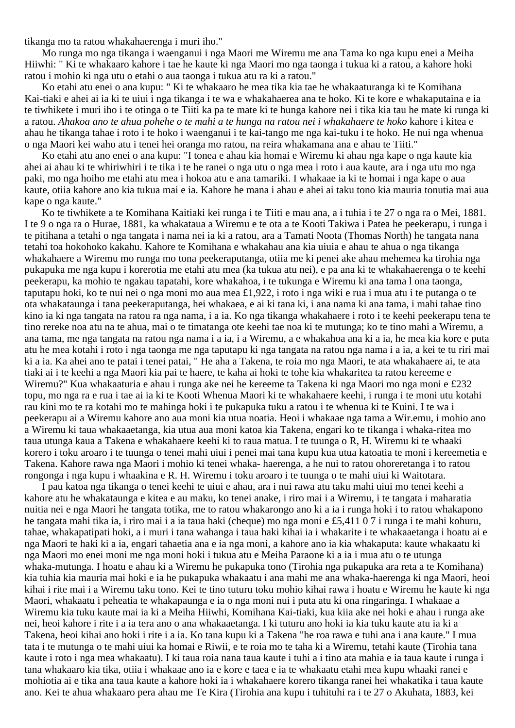tikanga mo ta ratou whakahaerenga i muri iho."

Mo runga mo nga tikanga i waenganui i nga Maori me Wiremu me ana Tama ko nga kupu enei a Meiha Hiiwhi: " Ki te whakaaro kahore i tae he kaute ki nga Maori mo nga taonga i tukua ki a ratou, a kahore hoki ratou i mohio ki nga utu o etahi o aua taonga i tukua atu ra ki a ratou."

Ko etahi atu enei o ana kupu: " Ki te whakaaro he mea tika kia tae he whakaaturanga ki te Komihana Kai-tiaki e ahei ai ia ki te uiui i nga tikanga i te wa e whakahaerea ana te hoko. Ki te kore e whakaputaina e ia te tiwhikete i muri iho i te otinga o te Tiiti ka pa te mate ki te hunga kahore nei i tika kia tau he mate ki runga ki a ratou. *Ahakoa ano te ahua pohehe o te mahi a te hunga na ratou nei i whakahaere te hoko* kahore i kitea e ahau he tikanga tahae i roto i te hoko i waenganui i te kai-tango me nga kai-tuku i te hoko. He nui nga whenua o nga Maori kei waho atu i tenei hei oranga mo ratou, na reira whakamana ana e ahau te Tiiti."

Ko etahi atu ano enei o ana kupu: "I tonea e ahau kia homai e Wiremu ki ahau nga kape o nga kaute kia ahei ai ahau ki te whiriwhiri i te tika i te he ranei o nga utu o nga mea i roto i aua kaute, ara i nga utu mo nga paki, mo nga hoiho me etahi atu mea i hokoa atu e ana tamariki. I whakaae ia ki te homai i nga kape o aua kaute, otiia kahore ano kia tukua mai e ia. Kahore he mana i ahau e ahei ai taku tono kia mauria tonutia mai aua kape o nga kaute."

Ko te tiwhikete a te Komihana Kaitiaki kei runga i te Tiiti e mau ana, a i tuhia i te 27 o nga ra o Mei, 1881. I te 9 o nga ra o Hurae, 1881, ka whakataua a Wiremu e te ota a te Kooti Takiwa i Patea he peekerapu, i runga i te pitihana a tetahi o nga tangata i nama nei ia ki a ratou, ara a Tamati Noota (Thomas North) he tangata nana tetahi toa hokohoko kakahu. Kahore te Komihana e whakahau ana kia uiuia e ahau te ahua o nga tikanga whakahaere a Wiremu mo runga mo tona peekeraputanga, otiia me ki penei ake ahau mehemea ka tirohia nga pukapuka me nga kupu i korerotia me etahi atu mea (ka tukua atu nei), e pa ana ki te whakahaerenga o te keehi peekerapu, ka mohio te ngakau tapatahi, kore whakahoa, i te tukunga e Wiremu ki ana tama l ona taonga, taputapu hoki, ko te nui nei o nga moni mo aua mea £1,922, i roto i nga wiki e rua i mua atu i te putanga o te ota whakataunga i tana peekeraputanga, hei whakaea, e ai ki tana ki, i ana nama ki ana tama, i mahi tahae tino kino ia ki nga tangata na ratou ra nga nama, i a ia. Ko nga tikanga whakahaere i roto i te keehi peekerapu tena te tino rereke noa atu na te ahua, mai o te timatanga ote keehi tae noa ki te mutunga; ko te tino mahi a Wiremu, a ana tama, me nga tangata na ratou nga nama i a ia, i a Wiremu, a e whakahoa ana ki a ia, he mea kia kore e puta atu he mea kotahi i roto i nga taonga me nga taputapu ki nga tangata na ratou nga nama i a ia, a kei te tu riri mai ki a ia. Ka ahei ano te patai i tenei patai, " He aha a Takena, te roia mo nga Maori, te ata whakahaere ai, te ata tiaki ai i te keehi a nga Maori kia pai te haere, te kaha ai hoki te tohe kia whakaritea ta ratou kereeme e Wiremu?" Kua whakaaturia e ahau i runga ake nei he kereeme ta Takena ki nga Maori mo nga moni e £232 topu, mo nga ra e rua i tae ai ia ki te Kooti Whenua Maori ki te whakahaere keehi, i runga i te moni utu kotahi rau kini mo te ra kotahi mo te mahinga hoki i te pukapuka tuku a ratou i te whenua ki te Kuini. I te wa i peekerapu ai a Wiremu kahore ano aua moni kia utua noatia. Heoi i whakaae nga tama a Wir.emu, i mohio ano a Wiremu ki taua whakaaetanga, kia utua aua moni katoa kia Takena, engari ko te tikanga i whaka-ritea mo taua utunga kaua a Takena e whakahaere keehi ki to raua matua. I te tuunga o R, H. Wiremu ki te whaaki korero i toku aroaro i te tuunga o tenei mahi uiui i penei mai tana kupu kua utua katoatia te moni i kereemetia e Takena. Kahore rawa nga Maori i mohio ki tenei whaka- haerenga, a he nui to ratou ohoreretanga i to ratou rongonga i nga kupu i whaakina e R. H. Wiremu i toku aroaro i te tuunga o te mahi uiui ki Waitotara.

I pau katoa nga tikanga o tenei keehi te uiui e ahau, ara i nui rawa atu taku mahi uiui mo tenei keehi a kahore atu he whakataunga e kitea e au maku, ko tenei anake, i riro mai i a Wiremu, i te tangata i maharatia nuitia nei e nga Maori he tangata totika, me to ratou whakarongo ano ki a ia i runga hoki i to ratou whakapono he tangata mahi tika ia, i riro mai i a ia taua haki (cheque) mo nga moni e £5,411 0 7 i runga i te mahi kohuru, tahae, whakapatipati hoki, a i muri i tana wahanga i taua haki kihai ia i whakarite i te whakaaetanga i hoatu ai e nga Maori te haki ki a ia, engari tahaetia ana e ia nga moni, a kahore ano ia kia whakaputa: kaute whakaatu ki nga Maori mo enei moni me nga moni hoki i tukua atu e Meiha Paraone ki a ia i mua atu o te utunga whaka-mutunga. I hoatu e ahau ki a Wiremu he pukapuka tono (Tirohia nga pukapuka ara reta a te Komihana) kia tuhia kia mauria mai hoki e ia he pukapuka whakaatu i ana mahi me ana whaka-haerenga ki nga Maori, heoi kihai i rite mai i a Wiremu taku tono. Kei te tino tuturu toku mohio kihai rawa i hoatu e Wiremu he kaute ki nga Maori, whakaatu i peheatia te whakapaunga e ia o nga moni nui i puta atu ki ona ringaringa. I whakaae a Wiremu kia tuku kaute mai ia ki a Meiha Hiiwhi, Komihana Kai-tiaki, kua kiia ake nei hoki e ahau i runga ake nei, heoi kahore i rite i a ia tera ano o ana whakaaetanga. I ki tuturu ano hoki ia kia tuku kaute atu ia ki a Takena, heoi kihai ano hoki i rite i a ia. Ko tana kupu ki a Takena "he roa rawa e tuhi ana i ana kaute." I mua tata i te mutunga o te mahi uiui ka homai e Riwii, e te roia mo te taha ki a Wiremu, tetahi kaute (Tirohia tana kaute i roto i nga mea whakaatu). I ki taua roia nana taua kaute i tuhi a i tino ata mahia e ia taua kaute i runga i tana whakaaro kia tika, otiia i whakaae ano ia e kore e taea e ia te whakaatu etahi mea kupu whaaki ranei e mohiotia ai e tika ana taua kaute a kahore hoki ia i whakahaere korero tikanga ranei hei whakatika i taua kaute ano. Kei te ahua whakaaro pera ahau me Te Kira (Tirohia ana kupu i tuhituhi ra i te 27 o Akuhata, 1883, kei